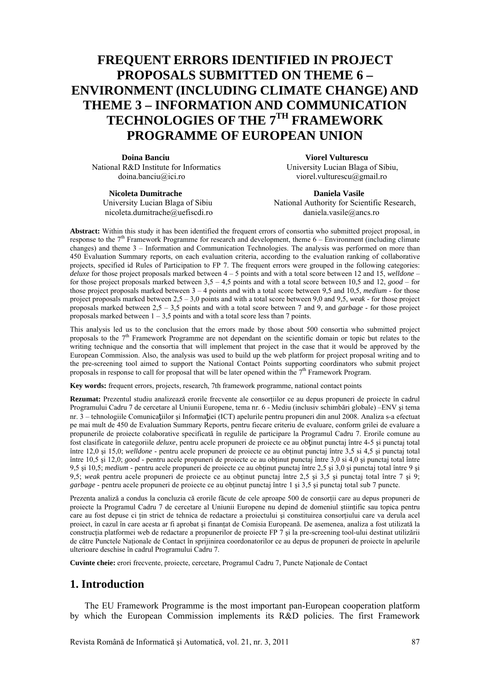# **FREQUENT ERRORS IDENTIFIED IN PROJECT PROPOSALS SUBMITTED ON THEME 6 – ENVIRONMENT (INCLUDING CLIMATE CHANGE) AND THEME 3 – INFORMATION AND COMMUNICATION TECHNOLOGIES OF THE 7TH FRAMEWORK PROGRAMME OF EUROPEAN UNION**

**Doina Banciu Viorel Vulturescu**  National R&D Institute for Informatics University Lucian Blaga of Sibiu,<br>doina banciu@ici.ro viorel.vulturescu@gmail.ro

viorel.vulturescu $@g$ gmail.ro

**Nicoleta Dumitrache Daniela Vasile Daniela Vasile** nicoleta.dumitrache@uefiscdi.ro daniela.vasile@ancs.ro

University Lucian Blaga of Sibiu National Authority for Scientific Research,

Abstract: Within this study it has been identified the frequent errors of consortia who submitted project proposal, in response to the 7th Framework Programme for research and development, theme 6 – Environment (including climate changes) and theme 3 – Information and Communication Technologies. The analysis was performed on more than 450 Evaluation Summary reports, on each evaluation criteria, according to the evaluation ranking of collaborative projects, specified id Rules of Participation to FP 7. The frequent errors were grouped in the following categories: *deluxe* for those project proposals marked between 4 – 5 points and with a total score between 12 and 15, *welldone* – for those project proposals marked between 3,5 – 4,5 points and with a total score between 10,5 and 12, *good* – for those project proposals marked between 3 – 4 points and with a total score between 9,5 and 10,5, *medium* - for those project proposals marked between 2,5 – 3,0 points and with a total score between 9,0 and 9,5, *weak* - for those project proposals marked between 2,5 – 3,5 points and with a total score between 7 and 9, and *garbage* - for those project proposals marked between  $1 - 3.5$  points and with a total score less than 7 points.

This analysis led us to the conclusion that the errors made by those about 500 consortia who submitted project proposals to the  $7<sup>th</sup>$  Framework Programme are not dependant on the scientific domain or topic but relates to the writing technique and the consortia that will implement that project in the case that it would be approved by the European Commission. Also, the analysis was used to build up the web platform for project proposal writing and to the pre-screening tool aimed to support the National Contact Points supporting coordinators who submit project proposals in response to call for proposal that will be later opened within the  $7<sup>th</sup>$  Framework Program.

**Key words:** frequent errors, projects, research, 7th framework programme, national contact points

**Rezumat:** Prezentul studiu analizează erorile frecvente ale consorţiilor ce au depus propuneri de proiecte în cadrul Programului Cadru 7 de cercetare al Uniunii Europene, tema nr. 6 - Mediu (inclusiv schimbări globale) –ENV şi tema nr. 3 – tehnologiile Comunicaţiilor şi Informaţiei (ICT) apelurile pentru propuneri din anul 2008. Analiza s-a efectuat pe mai mult de 450 de Evaluation Summary Reports, pentru fiecare criteriu de evaluare, conform grilei de evaluare a propunerile de proiecte colaborative specificată în regulile de participare la Programul Cadru 7. Erorile comune au fost clasificate în categoriile *deluxe*, pentru acele propuneri de proiecte ce au obţinut punctaj între 4-5 şi punctaj total între 12,0 şi 15,0; *welldone* - pentru acele propuneri de proiecte ce au obţinut punctaj între 3,5 si 4,5 şi punctaj total între 10,5 şi 12,0; *good* - pentru acele propuneri de proiecte ce au obţinut punctaj între 3,0 si 4,0 şi punctaj total între 9,5 şi 10,5; *medium* - pentru acele propuneri de proiecte ce au obţinut punctaj între 2,5 şi 3,0 şi punctaj total între 9 şi 9,5; *weak* pentru acele propuneri de proiecte ce au obținut punctaj între 2,5 și 3,5 și punctaj total între 7 și 9; *garbage* - pentru acele propuneri de proiecte ce au obţinut punctaj între 1 şi 3,5 şi punctaj total sub 7 puncte.

Prezenta analiză a condus la concluzia că erorile făcute de cele aproape 500 de consortii care au depus propuneri de proiecte la Programul Cadru 7 de cercetare al Uniunii Europene nu depind de domeniul ştiinţific sau topica pentru care au fost depuse ci ţin strict de tehnica de redactare a proiectului şi constituirea consorţiului care va derula acel proiect, în cazul în care acesta ar fi aprobat și finantat de Comisia Europeană. De asemenea, analiza a fost utilizată la construcția platformei web de redactare a propunerilor de proiecte FP 7 și la pre-screening tool-ului destinat utilizării de către Punctele Naţionale de Contact în sprijinirea coordonatorilor ce au depus de propuneri de proiecte în apelurile ulterioare deschise în cadrul Programului Cadru 7.

**Cuvinte cheie:** erori frecvente, proiecte, cercetare, Programul Cadru 7, Puncte Naţionale de Contact

#### **1. Introduction**

The EU Framework Programme is the most important pan-European cooperation platform by which the European Commission implements its R&D policies. The first Framework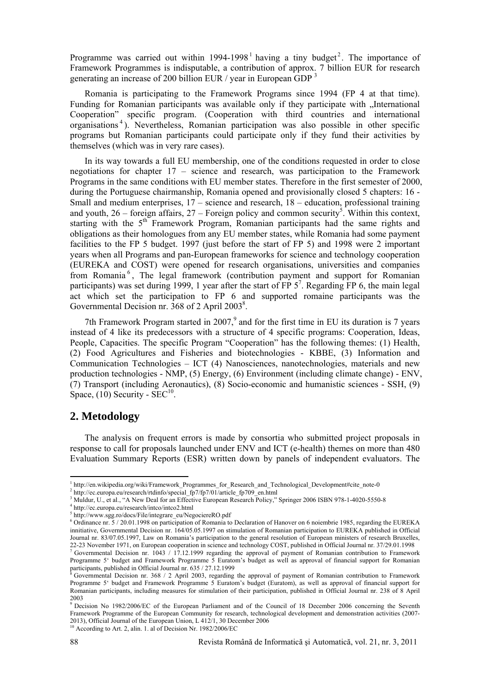Programme was carried out within  $1994-1998<sup>1</sup>$  having a tiny budget<sup>2</sup>. The importance of Framework Programmes is indisputable, a contribution of approx. 7 billion EUR for research generating an increase of 200 billion EUR / year in European GDP 3

Romania is participating to the Framework Programs since 1994 (FP 4 at that time). Funding for Romanian participants was available only if they participate with "International" Cooperation" specific program. (Cooperation with third countries and international organisations <sup>4</sup> ). Nevertheless, Romanian participation was also possible in other specific programs but Romanian participants could participate only if they fund their activities by themselves (which was in very rare cases).

In its way towards a full EU membership, one of the conditions requested in order to close negotiations for chapter 17 – science and research, was participation to the Framework Programs in the same conditions with EU member states. Therefore in the first semester of 2000, during the Portuguese chairmanship, Romania opened and provisionally closed 5 chapters: 16 - Small and medium enterprises, 17 – science and research, 18 – education, professional training and youth,  $26$  – foreign affairs,  $27$  – Foreign policy and common security<sup>5</sup>. Within this context, starting with the  $5<sup>th</sup>$  Framework Program. Romanian participants had the same rights and obligations as their homologues from any EU member states, while Romania had some payment facilities to the FP 5 budget. 1997 (just before the start of FP 5) and 1998 were 2 important years when all Programs and pan-European frameworks for science and technology cooperation (EUREKA and COST) were opened for research organisations, universities and companies from Romania <sup>6</sup> , The legal framework (contribution payment and support for Romanian participants) was set during 1999, 1 year after the start of  $FP 5<sup>7</sup>$ . Regarding  $FP 6$ , the main legal act which set the participation to FP 6 and supported romaine participants was the Governmental Decision nr.  $368$  of 2 April 2003<sup>8</sup>.

7th Framework Program started in  $2007$ , and for the first time in EU its duration is 7 years instead of 4 like its predecessors with a structure of 4 specific programs: Cooperation, Ideas, People, Capacities. The specific Program "Cooperation" has the following themes: (1) Health, (2) Food Agricultures and Fisheries and biotechnologies - KBBE, (3) Information and Communication Technologies – ICT (4) Nanosciences, nanotechnologies, materials and new production technologies - NMP, (5) Energy, (6) Environment (including climate change) - ENV, (7) Transport (including Aeronautics), (8) Socio-economic and humanistic sciences - SSH, (9) Space,  $(10)$  Security - SEC<sup>10</sup>.

#### **2. Metodology**

The analysis on frequent errors is made by consortia who submitted project proposals in response to call for proposals launched under ENV and ICT (e-health) themes on more than 480 Evaluation Summary Reports (ESR) written down by panels of independent evaluators. The

1

 $^{1}$ http://en.wikipedia.org/wiki/Framework\_Programmes\_for\_Research\_and\_Technological\_Development#cite\_note-0  $^{2}$  http://so.org/wiki/Framework\_Programmes\_for\_Research\_and\_Technological\_Development#cite\_note-0

 $h''$ http://ec.europa.eu/research/rtdinfo/special\_fp7/fp7/01/article\_fp709\_en.html

Muldur, U., et al., "A New Deal for an Effective European Research Policy," Springer 2006 ISBN 978-1-4020-5550-8 4

<sup>&</sup>lt;sup>4</sup> http://ec.europa.eu/research/intco/intco2.html

<sup>&</sup>lt;sup>5</sup> http://www.sgg.ro/docs/File/integrare\_eu/NegociereRO.pdf

 $6$  Ordinance nr. 5 / 20.01.1998 on participation of Romania to Declaration of Hanover on 6 noiembrie 1985, regarding the EUREKA innitiative, Governmental Decision nr. 164/05.05.1997 on stimulation of Romanian participation to EUREKA published in Official Journal nr. 83/07.05.1997, Law on Romania's participation to the general resolution of European Journal nr. 83/07.05.1997, Law on Romania's participation to the general resolution of European ministers of research Bruxelles, 22-23 November 1971, on European cooperation in science and technology COST, published in Official Journal nr. 37/29.01.1998<br><sup>7</sup> Governmental Desigion nr. 1043 (17.12.1900, regarding the approval of payment of Bomanian co Governmental Decision nr. 1043 / 17.12.1999 regarding the approval of payment of Romanian contribution to Framework

Programme 5' budget and Framework Programme 5 Euratom's budget as well as approval of financial support for Romanian participants, published in Official Journal nr. 635 / 27.12.1999 Governmental Decision nr. 368 / 2 April 2003, regarding the approval of payment of Romanian contribution to Framework

Programme 5' budget and Framework Programme 5 Euratom's budget (Euratom), as well as approval of financial support for Romanian participants, including measures for stimulation of their participation, published in Official Journal nr. 238 of 8 April 2003

<sup>9</sup> Decision No 1982/2006/EC of the European Parliament and of the Council of 18 December 2006 concerning the Seventh Framework Programme of the European Community for research, technological development and demonstration activities (2007- 2013), Official Journal of the European Union, L 412/1, 30 December 2006

<sup>&</sup>lt;sup>10</sup> According to Art. 2, alin. 1. al of Decision Nr. 1982/2006/EC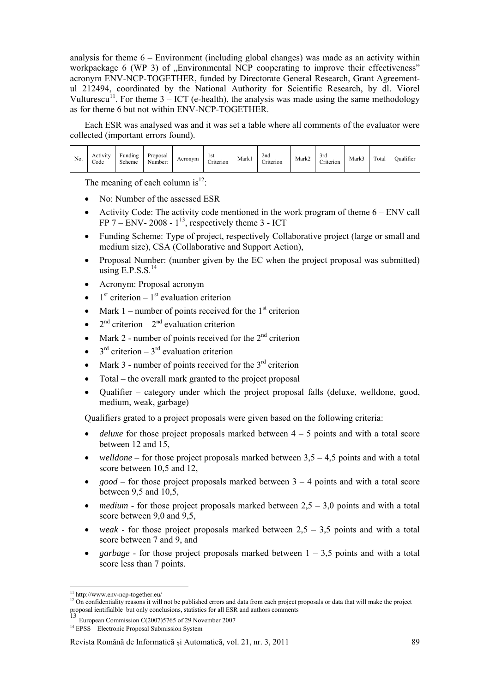analysis for theme  $6$  – Environment (including global changes) was made as an activity within workpackage 6 (WP 3) of "Environmental NCP cooperating to improve their effectiveness" acronym ENV-NCP-TOGETHER, funded by Directorate General Research, Grant Agreementul 212494, coordinated by the National Authority for Scientific Research, by dl. Viorel Vulturescu<sup>11</sup>. For theme  $3 - ICT$  (e-health), the analysis was made using the same methodology as for theme 6 but not within ENV-NCP-TOGETHER.

Each ESR was analysed was and it was set a table where all comments of the evaluator were collected (important errors found).

The meaning of each column is $^{12}$ :

- No: Number of the assessed ESR
- Activity Code: The activity code mentioned in the work program of theme 6 ENV call FP 7 – ENV- 2008 -  $1^{13}$ , respectively theme 3 - ICT
- Funding Scheme: Type of project, respectively Collaborative project (large or small and medium size), CSA (Collaborative and Support Action),
- Proposal Number: (number given by the EC when the project proposal was submitted) using  $E.P.S.S.<sup>14</sup>$
- Acronym: Proposal acronym
- $1<sup>st</sup>$  criterion  $1<sup>st</sup>$  evaluation criterion
- Mark 1 number of points received for the  $1<sup>st</sup>$  criterion
- $2<sup>nd</sup>$  criterion  $2<sup>nd</sup>$  evaluation criterion
- Mark 2 number of points received for the  $2<sup>nd</sup>$  criterion
- $3<sup>rd</sup>$  criterion  $3<sup>rd</sup>$  evaluation criterion
- Mark 3 number of points received for the  $3^{rd}$  criterion
- Total the overall mark granted to the project proposal
- Oualifier category under which the project proposal falls (deluxe, welldone, good, medium, weak, garbage)

Qualifiers grated to a project proposals were given based on the following criteria:

- *deluxe* for those project proposals marked between 4 5 points and with a total score between 12 and 15,
- $welldone$  for those project proposals marked between  $3,5 4,5$  points and with a total score between 10,5 and 12,
- *good* for those project proposals marked between 3 4 points and with a total score between 9,5 and 10,5,
- *medium* for those project proposals marked between  $2,5 3,0$  points and with a total score between 9,0 and 9,5,
- *weak* for those project proposals marked between  $2.5 3.5$  points and with a total score between 7 and 9, and
- *garbage* for those project proposals marked between  $1 3.5$  points and with a total score less than 7 points.

<sup>&</sup>lt;u>.</u> 11 http://www.env-ncp-together.eu/

<sup>&</sup>lt;sup>12</sup> On confidentiality reasons it will not be published errors and data from each project proposals or data that will make the project proposal ientifialble but only conclusions, statistics for all ESR and authors comments <br>13 E

<sup>&</sup>lt;sup>13</sup> European Commission C(2007)5765 of 29 November 2007<sup>14</sup> EPSS – Electronic Proposal Submission System

Revista Română de Informatică şi Automatică, vol. 21, nr. 3, 2011 89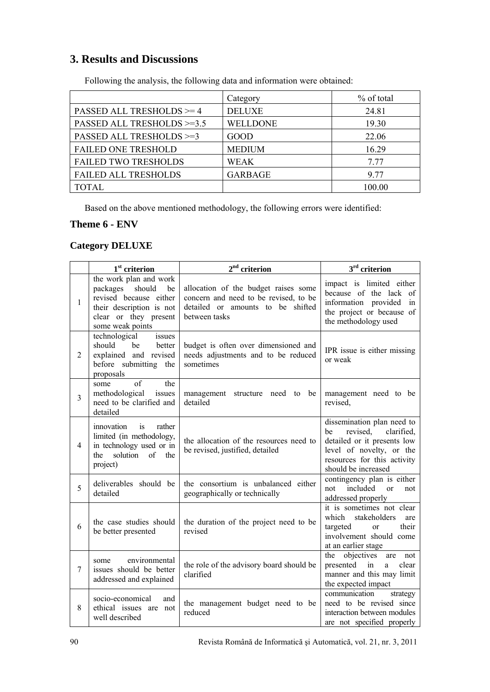### **3. Results and Discussions**

|                             | Category        | % of total |
|-----------------------------|-----------------|------------|
| PASSED ALL TRESHOLDS $>=$ 4 | <b>DELUXE</b>   | 24.81      |
| PASSED ALL TRESHOLDS >=3.5  | <b>WELLDONE</b> | 19.30      |
| PASSED ALL TRESHOLDS >=3    | <b>GOOD</b>     | 22.06      |
| <b>FAILED ONE TRESHOLD</b>  | <b>MEDIUM</b>   | 16.29      |
| <b>FAILED TWO TRESHOLDS</b> | <b>WEAK</b>     | 7.77       |
| <b>FAILED ALL TRESHOLDS</b> | <b>GARBAGE</b>  | 9 77       |
| TOTAL                       |                 | 100.00     |

Following the analysis, the following data and information were obtained:

Based on the above mentioned methodology, the following errors were identified:

### **Theme 6 - ENV**

#### **Category DELUXE**

|                | $1st$ criterion                                                                                                                                       | $2nd$ criterion                                                                                                                     | $3rd$ criterion                                                                                                                                                             |
|----------------|-------------------------------------------------------------------------------------------------------------------------------------------------------|-------------------------------------------------------------------------------------------------------------------------------------|-----------------------------------------------------------------------------------------------------------------------------------------------------------------------------|
| 1              | the work plan and work<br>should<br>packages<br>be<br>revised because either<br>their description is not<br>clear or they present<br>some weak points | allocation of the budget raises some<br>concern and need to be revised, to be<br>detailed or amounts to be shifted<br>between tasks | impact is limited either<br>because of the lack of<br>information provided<br>in<br>the project or because of<br>the methodology used                                       |
| $\overline{2}$ | technological<br>issues<br>should<br>be<br>better<br>explained and revised<br>before submitting the<br>proposals                                      | budget is often over dimensioned and<br>needs adjustments and to be reduced<br>sometimes                                            | IPR issue is either missing<br>or weak                                                                                                                                      |
| 3              | of<br>the<br>some<br>methodological<br>issues<br>need to be clarified and<br>detailed                                                                 | management structure need to be<br>detailed                                                                                         | management need to be<br>revised,                                                                                                                                           |
| $\overline{4}$ | rather<br>innovation<br><i>is</i><br>limited (in methodology,<br>in technology used or in<br>solution<br>of<br>the<br>the<br>project)                 | the allocation of the resources need to<br>be revised, justified, detailed                                                          | dissemination plan need to<br>revised,<br>clarified,<br>be<br>detailed or it presents low<br>level of novelty, or the<br>resources for this activity<br>should be increased |
| 5              | deliverables should be<br>detailed                                                                                                                    | the consortium is unbalanced either<br>geographically or technically                                                                | contingency plan is either<br>included<br>not<br><sub>or</sub><br>not<br>addressed properly                                                                                 |
| 6              | the case studies should<br>be better presented                                                                                                        | the duration of the project need to be<br>revised                                                                                   | it is sometimes not clear<br>which<br>stakeholders<br>are<br>their<br>targeted<br>or<br>involvement should come<br>at an earlier stage                                      |
| 7              | environmental<br>some<br>issues should be better<br>addressed and explained                                                                           | the role of the advisory board should be<br>clarified                                                                               | objectives<br>the<br>are<br>not<br>presented in<br>clear<br>a<br>manner and this may limit<br>the expected impact                                                           |
| 8              | socio-economical<br>and<br>ethical issues are not<br>well described                                                                                   | the management budget need to be<br>reduced                                                                                         | communication<br>strategy<br>need to be revised since<br>interaction between modules<br>are not specified properly                                                          |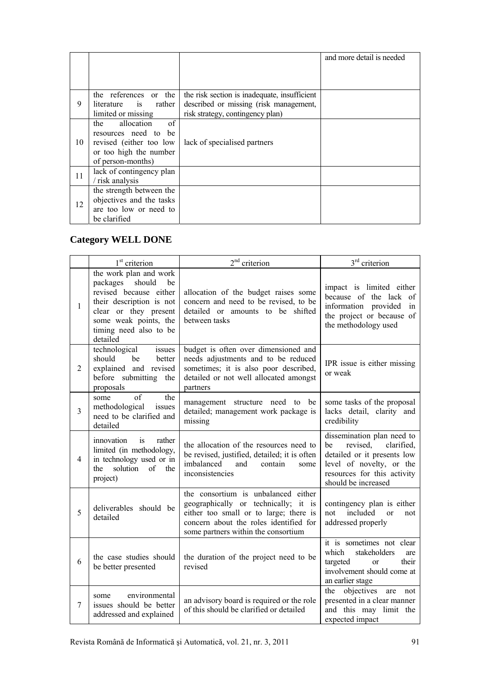|    |                          |                                              | and more detail is needed |
|----|--------------------------|----------------------------------------------|---------------------------|
|    |                          |                                              |                           |
|    |                          |                                              |                           |
|    | the references or the    | the risk section is inadequate, insufficient |                           |
| 9  | literature is rather     | described or missing (risk management,       |                           |
|    | limited or missing       | risk strategy, contingency plan)             |                           |
|    | of<br>allocation<br>the  |                                              |                           |
|    | resources need to be     |                                              |                           |
| 10 | revised (either too low  | lack of specialised partners                 |                           |
|    | or too high the number   |                                              |                           |
|    | of person-months)        |                                              |                           |
| 11 | lack of contingency plan |                                              |                           |
|    | / risk analysis          |                                              |                           |
|    | the strength between the |                                              |                           |
| 12 | objectives and the tasks |                                              |                           |
|    | are too low or need to   |                                              |                           |
|    | be clarified             |                                              |                           |

### **Category WELL DONE**

|                | 1 <sup>st</sup> criterion                                                                                                                                                                     | $2nd$ criterion                                                                                                                                                                                        | $3rd$ criterion                                                                                                                                                             |
|----------------|-----------------------------------------------------------------------------------------------------------------------------------------------------------------------------------------------|--------------------------------------------------------------------------------------------------------------------------------------------------------------------------------------------------------|-----------------------------------------------------------------------------------------------------------------------------------------------------------------------------|
| 1              | the work plan and work<br>packages should<br>be<br>revised because either<br>their description is not<br>clear or they present<br>some weak points, the<br>timing need also to be<br>detailed | allocation of the budget raises some<br>concern and need to be revised, to be<br>detailed or amounts to be shifted<br>between tasks                                                                    | impact is limited either<br>because of the lack of<br>information provided<br>in<br>the project or because of<br>the methodology used                                       |
| $\overline{2}$ | technological<br>issues<br>should<br>be<br>better<br>explained and revised<br>before submitting the<br>proposals                                                                              | budget is often over dimensioned and<br>needs adjustments and to be reduced<br>sometimes; it is also poor described,<br>detailed or not well allocated amongst<br>partners                             | IPR issue is either missing<br>or weak                                                                                                                                      |
| 3              | of<br>the<br>some<br>methodological<br>issues<br>need to be clarified and<br>detailed                                                                                                         | management structure need to be<br>detailed; management work package is<br>missing                                                                                                                     | some tasks of the proposal<br>lacks detail, clarity and<br>credibility                                                                                                      |
| 4              | rather<br>innovation<br>is<br>limited (in methodology,<br>in technology used or in<br>the<br>solution<br>of<br>the<br>project)                                                                | the allocation of the resources need to<br>be revised, justified, detailed; it is often<br>imbalanced<br>and<br>contain<br>some<br>inconsistencies                                                     | dissemination plan need to<br>clarified.<br>revised,<br>be<br>detailed or it presents low<br>level of novelty, or the<br>resources for this activity<br>should be increased |
| 5              | deliverables should be<br>detailed                                                                                                                                                            | the consortium is unbalanced either<br>geographically or technically; it is<br>either too small or to large; there is<br>concern about the roles identified for<br>some partners within the consortium | contingency plan is either<br>included<br>not<br><sub>or</sub><br>not<br>addressed properly                                                                                 |
| 6              | the case studies should<br>be better presented                                                                                                                                                | the duration of the project need to be<br>revised                                                                                                                                                      | it is sometimes not clear<br>which<br>stakeholders<br>are<br>targeted<br>their<br><sub>or</sub><br>involvement should come at<br>an earlier stage                           |
| 7              | environmental<br>some<br>issues should be better<br>addressed and explained                                                                                                                   | an advisory board is required or the role<br>of this should be clarified or detailed                                                                                                                   | objectives<br>the<br>are<br>not<br>presented in a clear manner<br>and this may limit the<br>expected impact                                                                 |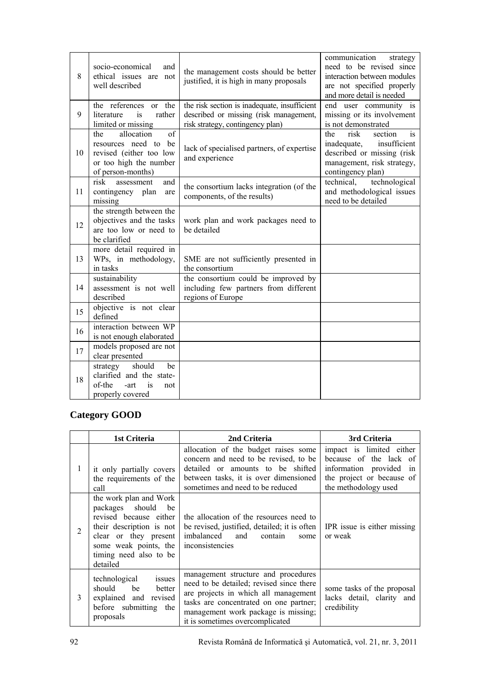| 8  | socio-economical<br>and<br>ethical issues are not<br>well described                                                       | the management costs should be better<br>justified, it is high in many proposals                                           | communication<br>strategy<br>need to be revised since<br>interaction between modules<br>are not specified properly<br>and more detail is needed |
|----|---------------------------------------------------------------------------------------------------------------------------|----------------------------------------------------------------------------------------------------------------------------|-------------------------------------------------------------------------------------------------------------------------------------------------|
| 9  | the references or the<br>literature<br>rather<br>is<br>limited or missing                                                 | the risk section is inadequate, insufficient<br>described or missing (risk management,<br>risk strategy, contingency plan) | end user community is<br>missing or its involvement<br>is not demonstrated                                                                      |
| 10 | of<br>allocation<br>the<br>resources need to be<br>revised (either too low<br>or too high the number<br>of person-months) | lack of specialised partners, of expertise<br>and experience                                                               | the<br>risk<br>section<br>is<br>insufficient<br>inadequate,<br>described or missing (risk<br>management, risk strategy,<br>contingency plan)    |
| 11 | risk<br>and<br>assessment<br>contingency plan<br>are<br>missing                                                           | the consortium lacks integration (of the<br>components, of the results)                                                    | technical,<br>technological<br>and methodological issues<br>need to be detailed                                                                 |
| 12 | the strength between the<br>objectives and the tasks<br>are too low or need to<br>be clarified                            | work plan and work packages need to<br>be detailed                                                                         |                                                                                                                                                 |
| 13 | more detail required in<br>WPs, in methodology,<br>in tasks                                                               | SME are not sufficiently presented in<br>the consortium                                                                    |                                                                                                                                                 |
| 14 | sustainability<br>assessment is not well<br>described                                                                     | the consortium could be improved by<br>including few partners from different<br>regions of Europe                          |                                                                                                                                                 |
| 15 | objective is not clear<br>defined                                                                                         |                                                                                                                            |                                                                                                                                                 |
| 16 | interaction between WP<br>is not enough elaborated                                                                        |                                                                                                                            |                                                                                                                                                 |
| 17 | models proposed are not<br>clear presented                                                                                |                                                                                                                            |                                                                                                                                                 |
| 18 | should<br>strategy<br>be<br>clarified and the state-<br>of-the<br>is<br>-art<br>not<br>properly covered                   |                                                                                                                            |                                                                                                                                                 |

# **Category GOOD**

|   | 1st Criteria                                                                                                                                                                                  | 2nd Criteria                                                                                                                                                                                                                                | 3rd Criteria                                                                                                                          |
|---|-----------------------------------------------------------------------------------------------------------------------------------------------------------------------------------------------|---------------------------------------------------------------------------------------------------------------------------------------------------------------------------------------------------------------------------------------------|---------------------------------------------------------------------------------------------------------------------------------------|
| 1 | it only partially covers<br>the requirements of the<br>call                                                                                                                                   | allocation of the budget raises some<br>concern and need to be revised, to be<br>detailed or amounts to be shifted<br>between tasks, it is over dimensioned<br>sometimes and need to be reduced                                             | impact is limited either<br>because of the lack of<br>information provided<br>in<br>the project or because of<br>the methodology used |
| 2 | the work plan and Work<br>packages should<br>be<br>revised because either<br>their description is not<br>clear or they present<br>some weak points, the<br>timing need also to be<br>detailed | the allocation of the resources need to<br>be revised, justified, detailed; it is often<br>imbalanced and<br>contain<br>some<br>inconsistencies                                                                                             | IPR issue is either missing<br>or weak                                                                                                |
| 3 | technological<br>issues<br>should<br>be<br>better<br>explained and revised<br>before submitting the<br>proposals                                                                              | management structure and procedures<br>need to be detailed; revised since there<br>are projects in which all management<br>tasks are concentrated on one partner;<br>management work package is missing;<br>it is sometimes overcomplicated | some tasks of the proposal<br>lacks detail, clarity and<br>credibility                                                                |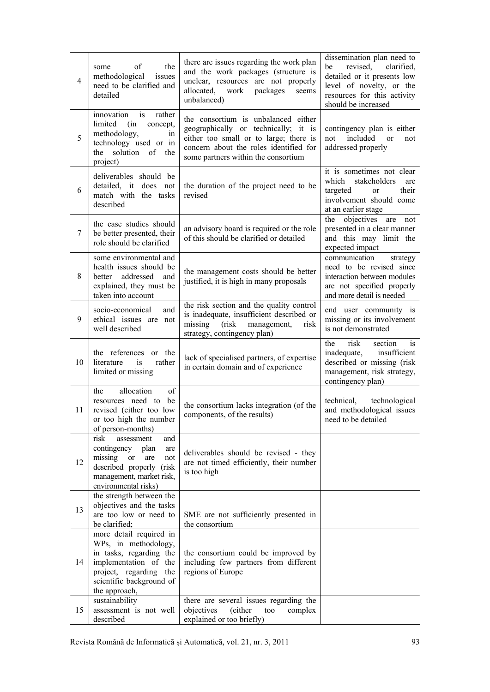| $\overline{4}$ | of<br>the<br>some<br>methodological<br>issues<br>need to be clarified and<br>detailed                                                                                      | there are issues regarding the work plan<br>and the work packages (structure is<br>unclear, resources are not properly<br>work<br>packages<br>allocated,<br>seems<br>unbalanced)                       | dissemination plan need to<br>revised, clarified,<br>be<br>detailed or it presents low<br>level of novelty, or the<br>resources for this activity<br>should be increased |
|----------------|----------------------------------------------------------------------------------------------------------------------------------------------------------------------------|--------------------------------------------------------------------------------------------------------------------------------------------------------------------------------------------------------|--------------------------------------------------------------------------------------------------------------------------------------------------------------------------|
| 5              | rather<br>innovation<br>is<br>limited<br>(in<br>concept,<br>methodology,<br>1n<br>technology used or in<br>solution<br>of<br>the<br>the<br>project)                        | the consortium is unbalanced either<br>geographically or technically; it is<br>either too small or to large; there is<br>concern about the roles identified for<br>some partners within the consortium | contingency plan is either<br>not<br>included<br><sub>or</sub><br>not<br>addressed properly                                                                              |
| 6              | deliverables should be<br>detailed, it<br>does not<br>match with the tasks<br>described                                                                                    | the duration of the project need to be<br>revised                                                                                                                                                      | it is sometimes not clear<br>which<br>stakeholders<br>are<br>targeted<br>their<br>or<br>involvement should come<br>at an earlier stage                                   |
| 7              | the case studies should<br>be better presented, their<br>role should be clarified                                                                                          | an advisory board is required or the role<br>of this should be clarified or detailed                                                                                                                   | the<br>objectives are<br>not<br>presented in a clear manner<br>and this may limit the<br>expected impact                                                                 |
| 8              | some environmental and<br>health issues should be<br>addressed<br>better<br>and<br>explained, they must be<br>taken into account                                           | the management costs should be better<br>justified, it is high in many proposals                                                                                                                       | communication<br>strategy<br>need to be revised since<br>interaction between modules<br>are not specified properly<br>and more detail is needed                          |
| 9              | socio-economical<br>and<br>ethical issues are not<br>well described                                                                                                        | the risk section and the quality control<br>is inadequate, insufficient described or<br>(risk<br>missing<br>management,<br>risk<br>strategy, contingency plan)                                         | end user community is<br>missing or its involvement<br>is not demonstrated                                                                                               |
| 10             | the references<br>or the<br>literature<br>rather<br>is<br>limited or missing                                                                                               | lack of specialised partners, of expertise<br>in certain domain and of experience                                                                                                                      | risk<br>the<br>section<br>1S<br>inadequate,<br>insufficient<br>described or missing (risk<br>management, risk strategy,<br>contingency plan)                             |
| 11             | allocation<br>of<br>the<br>resources need to be<br>revised (either too low<br>or too high the number<br>of person-months)                                                  | the consortium lacks integration (of the<br>components, of the results)                                                                                                                                | technological<br>technical,<br>and methodological issues<br>need to be detailed                                                                                          |
| 12             | risk<br>assessment<br>and<br>contingency plan<br>are<br>missing<br><b>or</b><br>not<br>are<br>described properly (risk<br>management, market risk,<br>environmental risks) | deliverables should be revised - they<br>are not timed efficiently, their number<br>is too high                                                                                                        |                                                                                                                                                                          |
| 13             | the strength between the<br>objectives and the tasks<br>are too low or need to<br>be clarified;                                                                            | SME are not sufficiently presented in<br>the consortium                                                                                                                                                |                                                                                                                                                                          |
| 14             | more detail required in<br>WPs, in methodology,<br>in tasks, regarding the<br>implementation of the<br>project, regarding the<br>scientific background of<br>the approach, | the consortium could be improved by<br>including few partners from different<br>regions of Europe                                                                                                      |                                                                                                                                                                          |
| 15             | sustainability<br>assessment is not well<br>described                                                                                                                      | there are several issues regarding the<br>objectives<br>(either<br>complex<br>too<br>explained or too briefly)                                                                                         |                                                                                                                                                                          |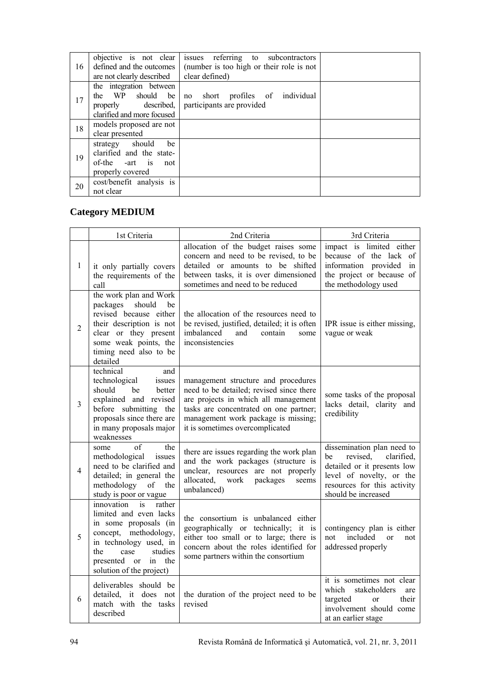| 16 | objective is not clear<br>defined and the outcomes<br>are not clearly described                     | issues referring to subcontractors<br>(number is too high or their role is not<br>clear defined) |  |
|----|-----------------------------------------------------------------------------------------------------|--------------------------------------------------------------------------------------------------|--|
| 17 | the integration between<br>the WP<br>should be<br>properly described,<br>clarified and more focused | short profiles of individual<br>no<br>participants are provided                                  |  |
| 18 | models proposed are not<br>clear presented                                                          |                                                                                                  |  |
| 19 | strategy should<br>be<br>clarified and the state-<br>of-the -art is<br>not<br>properly covered      |                                                                                                  |  |
| 20 | cost/benefit analysis is<br>not clear                                                               |                                                                                                  |  |

## **Category MEDIUM**

|                | 1st Criteria                                                                                                                                                                                                  | 2nd Criteria                                                                                                                                                                                                                                | 3rd Criteria                                                                                                                                                                |
|----------------|---------------------------------------------------------------------------------------------------------------------------------------------------------------------------------------------------------------|---------------------------------------------------------------------------------------------------------------------------------------------------------------------------------------------------------------------------------------------|-----------------------------------------------------------------------------------------------------------------------------------------------------------------------------|
| $\mathbf{1}$   | it only partially covers<br>the requirements of the<br>call                                                                                                                                                   | allocation of the budget raises some<br>concern and need to be revised, to be<br>detailed or amounts to be shifted<br>between tasks, it is over dimensioned<br>sometimes and need to be reduced                                             | impact is limited either<br>because of the lack of<br>information provided<br>in<br>the project or because of<br>the methodology used                                       |
| $\overline{2}$ | the work plan and Work<br>packages should<br>be<br>revised because either<br>their description is not<br>clear or they present<br>some weak points, the<br>timing need also to be<br>detailed                 | the allocation of the resources need to<br>be revised, justified, detailed; it is often<br>imbalanced<br>and<br>contain<br>some<br>inconsistencies                                                                                          | IPR issue is either missing,<br>vague or weak                                                                                                                               |
| 3              | technical<br>and<br>technological<br>issues<br>should<br>be<br>better<br>explained and revised<br>before submitting the<br>proposals since there are<br>in many proposals major<br>weaknesses                 | management structure and procedures<br>need to be detailed; revised since there<br>are projects in which all management<br>tasks are concentrated on one partner;<br>management work package is missing;<br>it is sometimes overcomplicated | some tasks of the proposal<br>lacks detail, clarity and<br>credibility                                                                                                      |
| 4              | of<br>the<br>some<br>methodological<br>issues<br>need to be clarified and<br>detailed; in general the<br>methodology<br>of<br>the<br>study is poor or vague                                                   | there are issues regarding the work plan<br>and the work packages (structure is<br>unclear, resources are not properly<br>allocated,<br>work<br>packages<br>seems<br>unbalanced)                                                            | dissemination plan need to<br>revised,<br>clarified,<br>be<br>detailed or it presents low<br>level of novelty, or the<br>resources for this activity<br>should be increased |
| 5              | innovation<br>rather<br>is<br>limited and even lacks<br>in some proposals (in<br>concept, methodology,<br>in technology used, in<br>studies<br>the<br>case<br>presented or in the<br>solution of the project) | the consortium is unbalanced either<br>geographically or technically; it is<br>either too small or to large; there is<br>concern about the roles identified for<br>some partners within the consortium                                      | contingency plan is either<br>included<br>not<br><sub>or</sub><br>not<br>addressed properly                                                                                 |
| 6              | deliverables should be<br>detailed, it does not<br>match with the tasks<br>described                                                                                                                          | the duration of the project need to be<br>revised                                                                                                                                                                                           | it is sometimes not clear<br>which<br>stakeholders<br>are<br>targeted<br>their<br>or<br>involvement should come<br>at an earlier stage                                      |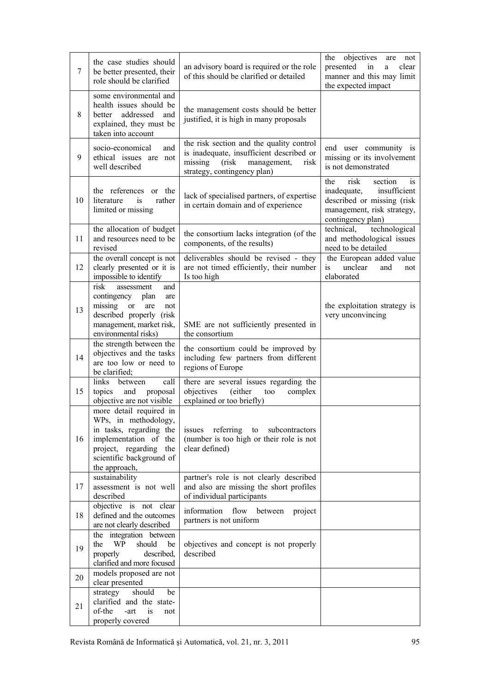| 7  | the case studies should<br>be better presented, their<br>role should be clarified                                                                                              | an advisory board is required or the role<br>of this should be clarified or detailed                                                                            | the objectives<br>are<br>not<br>presented<br>in<br>clear<br>a<br>manner and this may limit<br>the expected impact                            |
|----|--------------------------------------------------------------------------------------------------------------------------------------------------------------------------------|-----------------------------------------------------------------------------------------------------------------------------------------------------------------|----------------------------------------------------------------------------------------------------------------------------------------------|
| 8  | some environmental and<br>health issues should be<br>addressed<br>better<br>and<br>explained, they must be<br>taken into account                                               | the management costs should be better<br>justified, it is high in many proposals                                                                                |                                                                                                                                              |
| 9  | socio-economical<br>and<br>ethical issues are not<br>well described                                                                                                            | the risk section and the quality control<br>is inadequate, insufficient described or<br>missing<br>(risk)<br>management,<br>risk<br>strategy, contingency plan) | end user community is<br>missing or its involvement<br>is not demonstrated                                                                   |
| 10 | the references<br>or the<br>literature<br>rather<br>1S<br>limited or missing                                                                                                   | lack of specialised partners, of expertise<br>in certain domain and of experience                                                                               | risk<br>the<br>section<br>is<br>insufficient<br>inadequate,<br>described or missing (risk<br>management, risk strategy,<br>contingency plan) |
| 11 | the allocation of budget<br>and resources need to be<br>revised                                                                                                                | the consortium lacks integration (of the<br>components, of the results)                                                                                         | technical,<br>technological<br>and methodological issues<br>need to be detailed                                                              |
| 12 | the overall concept is not<br>clearly presented or it is<br>impossible to identify                                                                                             | deliverables should be revised - they<br>are not timed efficiently, their number<br>Is too high                                                                 | the European added value<br>unclear<br>is<br>and<br>not<br>elaborated                                                                        |
| 13 | risk<br>and<br>assessment<br>contingency plan<br>are<br>missing<br><sub>or</sub><br>are<br>not<br>described properly (risk<br>management, market risk,<br>environmental risks) | SME are not sufficiently presented in<br>the consortium                                                                                                         | the exploitation strategy is<br>very unconvincing                                                                                            |
| 14 | the strength between the<br>objectives and the tasks<br>are too low or need to<br>be clarified;                                                                                | the consortium could be improved by<br>including few partners from different<br>regions of Europe                                                               |                                                                                                                                              |
| 15 | links<br>call<br>between<br>topics<br>and<br>proposal<br>objective are not visible                                                                                             | there are several issues regarding the<br>objectives<br>(either<br>too<br>complex<br>explained or too briefly)                                                  |                                                                                                                                              |
| 16 | more detail required in<br>WPs, in methodology,<br>in tasks, regarding the<br>implementation of the<br>project, regarding the<br>scientific background of<br>the approach,     | issues referring<br>to<br>subcontractors<br>(number is too high or their role is not<br>clear defined)                                                          |                                                                                                                                              |
| 17 | sustainability<br>assessment is not well<br>described                                                                                                                          | partner's role is not clearly described<br>and also are missing the short profiles<br>of individual participants                                                |                                                                                                                                              |
| 18 | objective is not clear<br>defined and the outcomes<br>are not clearly described                                                                                                | information<br>flow<br>between<br>project<br>partners is not uniform                                                                                            |                                                                                                                                              |
| 19 | the integration between<br>should<br>the<br>WP<br>be<br>described,<br>properly<br>clarified and more focused                                                                   | objectives and concept is not properly<br>described                                                                                                             |                                                                                                                                              |
| 20 | models proposed are not<br>clear presented                                                                                                                                     |                                                                                                                                                                 |                                                                                                                                              |
| 21 | should<br>strategy<br>be<br>clarified and the state-<br>of-the<br>is<br>-art<br>not<br>properly covered                                                                        |                                                                                                                                                                 |                                                                                                                                              |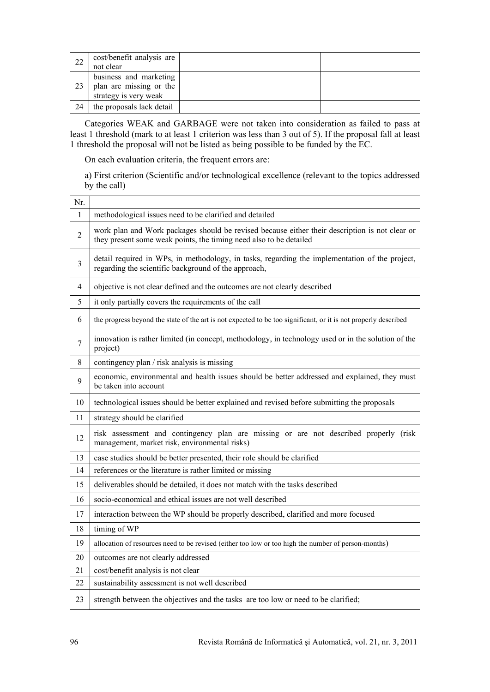| 22 | cost/benefit analysis are<br>not clear                                     |  |
|----|----------------------------------------------------------------------------|--|
| 23 | business and marketing<br>plan are missing or the<br>strategy is very weak |  |
| 24 | the proposals lack detail                                                  |  |

Categories WEAK and GARBAGE were not taken into consideration as failed to pass at least 1 threshold (mark to at least 1 criterion was less than 3 out of 5). If the proposal fall at least 1 threshold the proposal will not be listed as being possible to be funded by the EC.

On each evaluation criteria, the frequent errors are:

a) First criterion (Scientific and/or technological excellence (relevant to the topics addressed by the call)

| Nr.            |                                                                                                                                                                      |  |  |
|----------------|----------------------------------------------------------------------------------------------------------------------------------------------------------------------|--|--|
| $\mathbf{1}$   | methodological issues need to be clarified and detailed                                                                                                              |  |  |
| 2              | work plan and Work packages should be revised because either their description is not clear or<br>they present some weak points, the timing need also to be detailed |  |  |
| 3              | detail required in WPs, in methodology, in tasks, regarding the implementation of the project,<br>regarding the scientific background of the approach,               |  |  |
| 4              | objective is not clear defined and the outcomes are not clearly described                                                                                            |  |  |
| 5              | it only partially covers the requirements of the call                                                                                                                |  |  |
| 6              | the progress beyond the state of the art is not expected to be too significant, or it is not properly described                                                      |  |  |
| $\overline{7}$ | innovation is rather limited (in concept, methodology, in technology used or in the solution of the<br>project)                                                      |  |  |
| 8              | contingency plan / risk analysis is missing                                                                                                                          |  |  |
| 9              | economic, environmental and health issues should be better addressed and explained, they must<br>be taken into account                                               |  |  |
| 10             | technological issues should be better explained and revised before submitting the proposals                                                                          |  |  |
| 11             | strategy should be clarified                                                                                                                                         |  |  |
| 12             | risk assessment and contingency plan are missing or are not described properly (risk<br>management, market risk, environmental risks)                                |  |  |
| 13             | case studies should be better presented, their role should be clarified                                                                                              |  |  |
| 14             | references or the literature is rather limited or missing                                                                                                            |  |  |
| 15             | deliverables should be detailed, it does not match with the tasks described                                                                                          |  |  |
| 16             | socio-economical and ethical issues are not well described                                                                                                           |  |  |
| 17             | interaction between the WP should be properly described, clarified and more focused                                                                                  |  |  |
| 18             | timing of WP                                                                                                                                                         |  |  |
| 19             | allocation of resources need to be revised (either too low or too high the number of person-months)                                                                  |  |  |
| 20             | outcomes are not clearly addressed                                                                                                                                   |  |  |
| 21             | cost/benefit analysis is not clear                                                                                                                                   |  |  |
| 22             | sustainability assessment is not well described                                                                                                                      |  |  |
| 23             | strength between the objectives and the tasks are too low or need to be clarified;                                                                                   |  |  |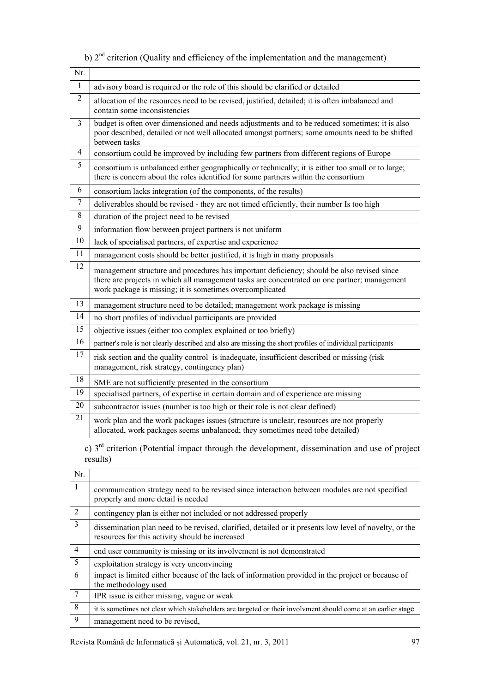| Nr.              |                                                                                                                                                                                                                                                        |  |  |
|------------------|--------------------------------------------------------------------------------------------------------------------------------------------------------------------------------------------------------------------------------------------------------|--|--|
| $\mathbf{1}$     | advisory board is required or the role of this should be clarified or detailed                                                                                                                                                                         |  |  |
| $\overline{2}$   | allocation of the resources need to be revised, justified, detailed; it is often imbalanced and<br>contain some inconsistencies                                                                                                                        |  |  |
| $\mathfrak{Z}$   | budget is often over dimensioned and needs adjustments and to be reduced sometimes; it is also<br>poor described, detailed or not well allocated amongst partners; some amounts need to be shifted<br>between tasks                                    |  |  |
| $\overline{4}$   | consortium could be improved by including few partners from different regions of Europe                                                                                                                                                                |  |  |
| 5                | consortium is unbalanced either geographically or technically; it is either too small or to large;<br>there is concern about the roles identified for some partners within the consortium                                                              |  |  |
| 6                | consortium lacks integration (of the components, of the results)                                                                                                                                                                                       |  |  |
| $\tau$           | deliverables should be revised - they are not timed efficiently, their number Is too high                                                                                                                                                              |  |  |
| 8                | duration of the project need to be revised                                                                                                                                                                                                             |  |  |
| $\boldsymbol{9}$ | information flow between project partners is not uniform                                                                                                                                                                                               |  |  |
| 10               | lack of specialised partners, of expertise and experience                                                                                                                                                                                              |  |  |
| 11               | management costs should be better justified, it is high in many proposals                                                                                                                                                                              |  |  |
| 12               | management structure and procedures has important deficiency; should be also revised since<br>there are projects in which all management tasks are concentrated on one partner; management<br>work package is missing; it is sometimes overcomplicated |  |  |
| 13               | management structure need to be detailed; management work package is missing                                                                                                                                                                           |  |  |
| 14               | no short profiles of individual participants are provided                                                                                                                                                                                              |  |  |
| 15               | objective issues (either too complex explained or too briefly)                                                                                                                                                                                         |  |  |
| 16               | partner's role is not clearly described and also are missing the short profiles of individual participants                                                                                                                                             |  |  |
| $17$             | risk section and the quality control is inadequate, insufficient described or missing (risk<br>management, risk strategy, contingency plan)                                                                                                            |  |  |
| 18               | SME are not sufficiently presented in the consortium                                                                                                                                                                                                   |  |  |
| 19               | specialised partners, of expertise in certain domain and of experience are missing                                                                                                                                                                     |  |  |
| 20               | subcontractor issues (number is too high or their role is not clear defined)                                                                                                                                                                           |  |  |
| 21               | work plan and the work packages issues (structure is unclear, resources are not properly<br>allocated, work packages seems unbalanced; they sometimes need tobe detailed)                                                                              |  |  |

# b)  $2<sup>nd</sup>$  criterion (Quality and efficiency of the implementation and the management)

c) 3rd criterion (Potential impact through the development, dissemination and use of project results)

| Nr.            |                                                                                                                                                           |
|----------------|-----------------------------------------------------------------------------------------------------------------------------------------------------------|
| -1             | communication strategy need to be revised since interaction between modules are not specified<br>properly and more detail is needed                       |
| $\overline{2}$ | contingency plan is either not included or not addressed properly                                                                                         |
| 3              | dissemination plan need to be revised, clarified, detailed or it presents low level of novelty, or the<br>resources for this activity should be increased |
| $\overline{4}$ | end user community is missing or its involvement is not demonstrated                                                                                      |
| 5              | exploitation strategy is very unconvincing                                                                                                                |
| 6              | impact is limited either because of the lack of information provided in the project or because of<br>the methodology used                                 |
| 7              | IPR issue is either missing, vague or weak                                                                                                                |
| 8              | it is sometimes not clear which stakeholders are targeted or their involvment should come at an earlier stage                                             |
| 9              | management need to be revised.                                                                                                                            |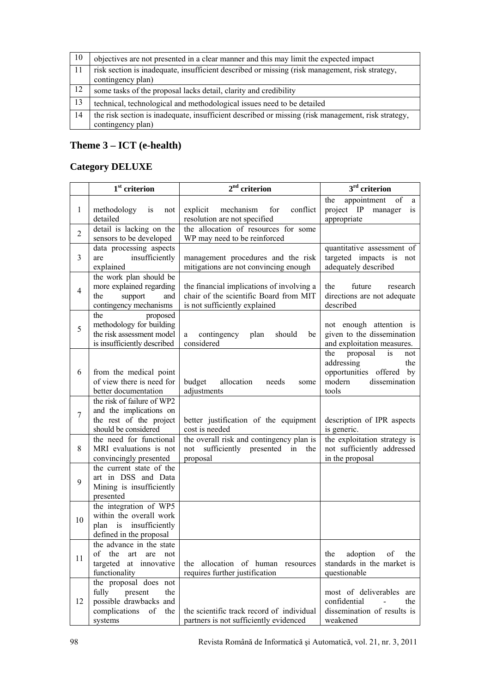| 10 | objectives are not presented in a clear manner and this may limit the expected impact                                   |
|----|-------------------------------------------------------------------------------------------------------------------------|
| 11 | risk section is inadequate, insufficient described or missing (risk management, risk strategy,<br>contingency plan)     |
| 12 | some tasks of the proposal lacks detail, clarity and credibility                                                        |
| 13 | technical, technological and methodological issues need to be detailed                                                  |
| 14 | the risk section is inadequate, insufficient described or missing (risk management, risk strategy,<br>contingency plan) |

## **Theme 3 – ICT (e-health)**

### **Category DELUXE**

|                | $1st$ criterion                                                                                                     | 2 <sup>nd</sup><br>criterion                                                                                         | $3rd$ criterion                                                                                                   |
|----------------|---------------------------------------------------------------------------------------------------------------------|----------------------------------------------------------------------------------------------------------------------|-------------------------------------------------------------------------------------------------------------------|
| 1              | methodology<br>is<br>not<br>detailed                                                                                | mechanism<br>for<br>conflict<br>explicit<br>resolution are not specified                                             | the<br>appointment<br>of<br>a<br>manager<br>project IP<br>is<br>appropriate                                       |
| $\overline{2}$ | detail is lacking on the<br>sensors to be developed                                                                 | the allocation of resources for some<br>WP may need to be reinforced                                                 |                                                                                                                   |
| 3              | data processing aspects<br>insufficiently<br>are<br>explained                                                       | management procedures and the risk<br>mitigations are not convincing enough                                          | quantitative assessment of<br>targeted impacts is not<br>adequately described                                     |
| $\overline{4}$ | the work plan should be<br>more explained regarding<br>the<br>support<br>and<br>contingency mechanisms              | the financial implications of involving a<br>chair of the scientific Board from MIT<br>is not sufficiently explained | the<br>future<br>research<br>directions are not adequate<br>described                                             |
| 5              | the<br>proposed<br>methodology for building<br>the risk assessment model<br>is insufficiently described             | contingency<br>should<br>plan<br>be<br>a<br>considered                                                               | not enough attention is<br>given to the dissemination<br>and exploitation measures.                               |
| 6              | from the medical point<br>of view there is need for<br>better documentation                                         | budget<br>allocation<br>needs<br>some<br>adjustments                                                                 | the<br>proposal<br>is<br>not<br>addressing<br>the<br>opportunities offered by<br>modern<br>dissemination<br>tools |
| 7              | the risk of failure of WP2<br>and the implications on<br>the rest of the project<br>should be considered            | better justification of the equipment<br>cost is needed                                                              | description of IPR aspects<br>is generic.                                                                         |
| 8              | the need for functional<br>MRI evaluations is not<br>convincingly presented                                         | the overall risk and contingency plan is<br>sufficiently presented in<br>not<br>the<br>proposal                      | the exploitation strategy is<br>not sufficiently addressed<br>in the proposal                                     |
| 9              | the current state of the<br>art in DSS and Data<br>Mining is insufficiently<br>presented                            |                                                                                                                      |                                                                                                                   |
| 10             | the integration of WP5<br>within the overall work<br>plan is insufficiently<br>defined in the proposal              |                                                                                                                      |                                                                                                                   |
| 11             | the advance in the state<br>of the<br>art<br>are<br>not<br>targeted<br>at innovative<br>functionality               | the allocation of human resources<br>requires further justification                                                  | adoption<br>the<br>of<br>the<br>standards in the market is<br>questionable                                        |
| 12             | the proposal does not<br>fully<br>present<br>the<br>possible drawbacks and<br>complications<br>of<br>the<br>systems | the scientific track record of individual<br>partners is not sufficiently evidenced                                  | most of deliverables<br>are<br>confidential<br>the<br>dissemination of results is<br>weakened                     |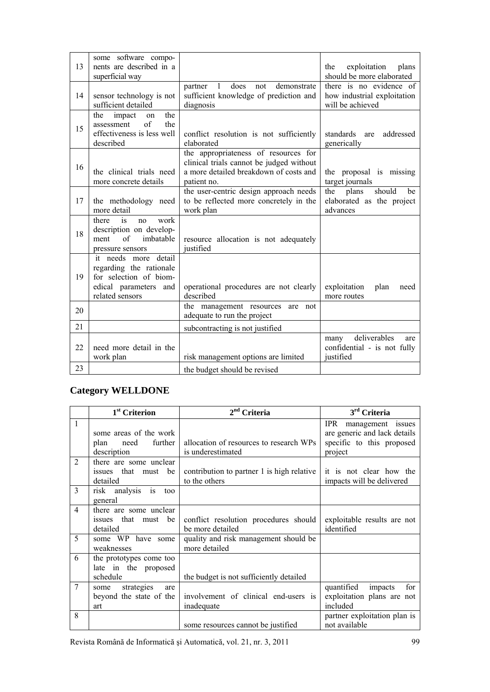| 13 | some software compo-<br>nents are described in a<br>superficial way                                                   |                                                                                                                                           | exploitation<br>plans<br>the<br>should be more elaborated                  |
|----|-----------------------------------------------------------------------------------------------------------------------|-------------------------------------------------------------------------------------------------------------------------------------------|----------------------------------------------------------------------------|
| 14 | sensor technology is not<br>sufficient detailed                                                                       | $\mathbf{1}$<br>does<br>demonstrate<br>partner<br>not<br>sufficient knowledge of prediction and<br>diagnosis                              | there is no evidence of<br>how industrial exploitation<br>will be achieved |
| 15 | the<br>the<br>impact<br>on<br>of<br>the<br>assessment<br>effectiveness is less well<br>described                      | conflict resolution is not sufficiently<br>elaborated                                                                                     | standards are<br>addressed<br>generically                                  |
| 16 | the clinical trials need<br>more concrete details                                                                     | the appropriateness of resources for<br>clinical trials cannot be judged without<br>a more detailed breakdown of costs and<br>patient no. | the proposal is missing<br>target journals                                 |
| 17 | the methodology need<br>more detail                                                                                   | the user-centric design approach needs<br>to be reflected more concretely in the<br>work plan                                             | should<br>the<br>plans<br>be<br>elaborated as the project<br>advances      |
| 18 | work<br>is<br>there<br>no<br>description on develop-<br>of<br>imbatable<br>ment<br>pressure sensors                   | resource allocation is not adequately<br>justified                                                                                        |                                                                            |
| 19 | it needs more detail<br>regarding the rationale<br>for selection of biom-<br>edical parameters and<br>related sensors | operational procedures are not clearly<br>described                                                                                       | exploitation<br>plan<br>need<br>more routes                                |
| 20 |                                                                                                                       | the management resources<br>are not<br>adequate to run the project                                                                        |                                                                            |
| 21 |                                                                                                                       | subcontracting is not justified                                                                                                           |                                                                            |
| 22 | need more detail in the<br>work plan                                                                                  | risk management options are limited                                                                                                       | deliverables<br>many<br>are<br>confidential - is not fully<br>justified    |
| 23 |                                                                                                                       | the budget should be revised                                                                                                              |                                                                            |

### **Category WELLDONE**

|                | 1 <sup>st</sup> Criterion                                        | $2nd$ Criteria                                               | 3 <sup>rd</sup> Criteria                                                                      |
|----------------|------------------------------------------------------------------|--------------------------------------------------------------|-----------------------------------------------------------------------------------------------|
| $\mathbf{1}$   | some areas of the work<br>further<br>need<br>plan<br>description | allocation of resources to research WPs<br>is underestimated | IPR management issues<br>are generic and lack details<br>specific to this proposed<br>project |
| $\overline{2}$ | there are some unclear<br>issues that must be<br>detailed        | contribution to partner 1 is high relative<br>to the others  | it is not clear how the<br>impacts will be delivered                                          |
| 3              | risk analysis is<br>too<br>general                               |                                                              |                                                                                               |
| 4              | there are some unclear<br>issues that must be<br>detailed        | conflict resolution procedures should<br>be more detailed    | exploitable results are not<br>identified                                                     |
| 5              | some WP have some<br>weaknesses                                  | quality and risk management should be<br>more detailed       |                                                                                               |
| 6              | the prototypes come too<br>late in the proposed<br>schedule      | the budget is not sufficiently detailed                      |                                                                                               |
| 7              | some strategies<br>are<br>beyond the state of the<br>art         | involvement of clinical end-users is<br>inadequate           | for<br>quantified<br>impacts<br>exploitation plans are not<br>included                        |
| 8              |                                                                  | some resources cannot be justified                           | partner exploitation plan is<br>not available                                                 |

Revista Română de Informatică şi Automatică, vol. 21, nr. 3, 2011 99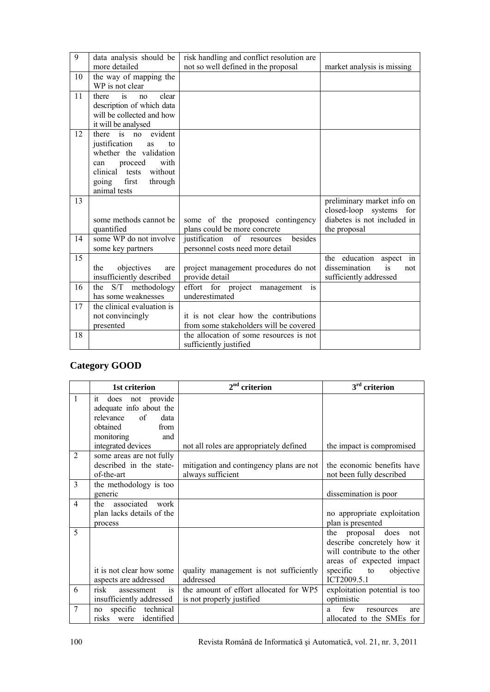| $\overline{9}$ | data analysis should be              | risk handling and conflict resolution are |                             |
|----------------|--------------------------------------|-------------------------------------------|-----------------------------|
|                | more detailed                        | not so well defined in the proposal       | market analysis is missing  |
| 10             | the way of mapping the               |                                           |                             |
|                | WP is not clear                      |                                           |                             |
| 11             | is<br>clear<br>there<br>no           |                                           |                             |
|                | description of which data            |                                           |                             |
|                | will be collected and how            |                                           |                             |
|                | it will be analysed                  |                                           |                             |
| 12             | evident<br>there is no               |                                           |                             |
|                | justification<br>$\mathsf{to}$<br>as |                                           |                             |
|                | whether the validation               |                                           |                             |
|                | proceed<br>with<br>can               |                                           |                             |
|                | without<br>clinical<br>tests         |                                           |                             |
|                | first<br>through<br>going            |                                           |                             |
|                | animal tests                         |                                           |                             |
| 13             |                                      |                                           | preliminary market info on  |
|                |                                      |                                           | closed-loop systems for     |
|                | some methods cannot be               | some of the proposed contingency          | diabetes is not included in |
|                | quantified                           | plans could be more concrete              | the proposal                |
| 14             | some WP do not involve               | besides<br>justification<br>of resources  |                             |
|                | some key partners                    | personnel costs need more detail          |                             |
| 15             |                                      |                                           | the education aspect<br>in  |
|                | objectives<br>the<br>are             | project management procedures do not      | is<br>dissemination<br>not  |
|                | insufficiently described             | provide detail                            | sufficiently addressed      |
| 16             | the S/T methodology                  | is<br>effort for project management       |                             |
|                | has some weaknesses                  | underestimated                            |                             |
| 17             | the clinical evaluation is           |                                           |                             |
|                | not convincingly                     | it is not clear how the contributions     |                             |
|                | presented                            | from some stakeholders will be covered    |                             |
| 18             |                                      | the allocation of some resources is not   |                             |
|                |                                      | sufficiently justified                    |                             |

# **Category GOOD**

|                | 1st criterion                                                                                    | $2nd$ criterion                                                     | 3 <sup>rd</sup> criterion                                                                                                                                           |
|----------------|--------------------------------------------------------------------------------------------------|---------------------------------------------------------------------|---------------------------------------------------------------------------------------------------------------------------------------------------------------------|
| 1              | does not provide<br>it<br>adequate info about the<br>relevance<br>of<br>data<br>obtained<br>from |                                                                     |                                                                                                                                                                     |
|                | monitoring<br>and<br>integrated devices                                                          | not all roles are appropriately defined                             | the impact is compromised                                                                                                                                           |
| $\overline{2}$ | some areas are not fully<br>described in the state-<br>of-the-art                                | mitigation and contingency plans are not<br>always sufficient       | the economic benefits have<br>not been fully described                                                                                                              |
| $\overline{3}$ | the methodology is too<br>generic                                                                |                                                                     | dissemination is poor                                                                                                                                               |
| $\overline{4}$ | associated<br>the<br>work<br>plan lacks details of the<br>process                                |                                                                     | no appropriate exploitation<br>plan is presented                                                                                                                    |
| 5              | it is not clear how some<br>aspects are addressed                                                | quality management is not sufficiently<br>addressed                 | proposal does<br>the<br>not<br>describe concretely how it<br>will contribute to the other<br>areas of expected impact<br>specific<br>to<br>objective<br>ICT2009.5.1 |
| 6              | risk<br>assessment<br><i>is</i><br>insufficiently addressed                                      | the amount of effort allocated for WP5<br>is not properly justified | exploitation potential is too<br>optimistic                                                                                                                         |
| $\overline{7}$ | specific technical<br>no<br>identified<br>risks were                                             |                                                                     | few<br>resources<br>are<br>a<br>allocated to the SMEs for                                                                                                           |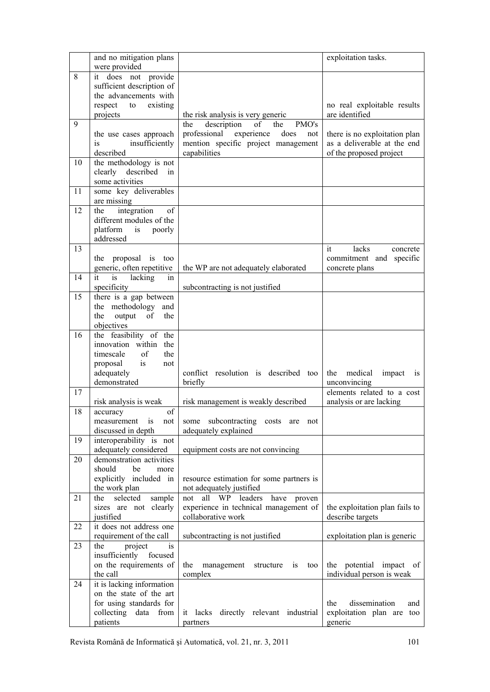|    | and no mitigation plans               |                                             | exploitation tasks.                           |
|----|---------------------------------------|---------------------------------------------|-----------------------------------------------|
|    | were provided                         |                                             |                                               |
| 8  | it does not provide                   |                                             |                                               |
|    | sufficient description of             |                                             |                                               |
|    | the advancements with                 |                                             |                                               |
|    | respect<br>existing<br>to<br>projects | the risk analysis is very generic           | no real exploitable results<br>are identified |
| 9  |                                       | description<br>of<br>PMO's<br>the<br>the    |                                               |
|    | the use cases approach                | professional experience<br>does<br>not      | there is no exploitation plan                 |
|    | is<br>insufficiently                  | mention specific project management         | as a deliverable at the end                   |
|    | described                             | capabilities                                | of the proposed project                       |
| 10 | the methodology is not                |                                             |                                               |
|    | clearly described<br>in               |                                             |                                               |
|    | some activities                       |                                             |                                               |
| 11 | some key deliverables                 |                                             |                                               |
|    | are missing                           |                                             |                                               |
| 12 | integration<br>of<br>the              |                                             |                                               |
|    | different modules of the              |                                             |                                               |
|    | platform is poorly                    |                                             |                                               |
|    | addressed                             |                                             |                                               |
| 13 |                                       |                                             | lacks<br>it<br>concrete                       |
|    | the proposal is too                   |                                             | commitment and specific                       |
|    | generic, often repetitive             | the WP are not adequately elaborated        | concrete plans                                |
| 14 | it is lacking<br>in                   |                                             |                                               |
|    | specificity                           | subcontracting is not justified             |                                               |
| 15 | there is a gap between                |                                             |                                               |
|    | the methodology and                   |                                             |                                               |
|    | output of<br>the<br>the               |                                             |                                               |
|    | objectives                            |                                             |                                               |
| 16 | the feasibility of the                |                                             |                                               |
|    | innovation within the                 |                                             |                                               |
|    | of<br>timescale<br>the                |                                             |                                               |
|    | proposal is<br>not                    |                                             |                                               |
|    | adequately                            | conflict resolution is described too        | medical<br>impact<br>the<br>1S                |
| 17 | demonstrated                          | briefly                                     | unconvincing<br>elements related to a cost    |
|    | risk analysis is weak                 | risk management is weakly described         | analysis or are lacking                       |
| 18 | of                                    |                                             |                                               |
|    | accuracy<br>is<br>measurement<br>not  | some subcontracting costs are not           |                                               |
|    | discussed in depth                    | adequately explained                        |                                               |
| 19 | interoperability is not               |                                             |                                               |
|    | adequately considered                 | equipment costs are not convincing          |                                               |
| 20 | demonstration activities              |                                             |                                               |
|    | should<br>be<br>more                  |                                             |                                               |
|    | explicitly included in                | resource estimation for some partners is    |                                               |
|    | the work plan                         | not adequately justified                    |                                               |
| 21 | selected<br>sample<br>the             | all WP leaders<br>not<br>have<br>proven     |                                               |
|    | sizes are not clearly                 | experience in technical management of       | the exploitation plan fails to                |
|    | justified                             | collaborative work                          | describe targets                              |
| 22 | it does not address one               |                                             |                                               |
|    | requirement of the call               | subcontracting is not justified             | exploitation plan is generic                  |
| 23 | the<br>project<br>is                  |                                             |                                               |
|    | insufficiently focused                |                                             |                                               |
|    | on the requirements of                | the<br>management<br>structure<br>1S<br>too | the potential impact of                       |
| 24 | the call<br>it is lacking information | complex                                     | individual person is weak                     |
|    | on the state of the art               |                                             |                                               |
|    | for using standards for               |                                             | the<br>dissemination<br>and                   |
|    | collecting data from                  | it lacks<br>directly relevant industrial    | exploitation plan are too                     |
|    | patients                              | partners                                    | generic                                       |
|    |                                       |                                             |                                               |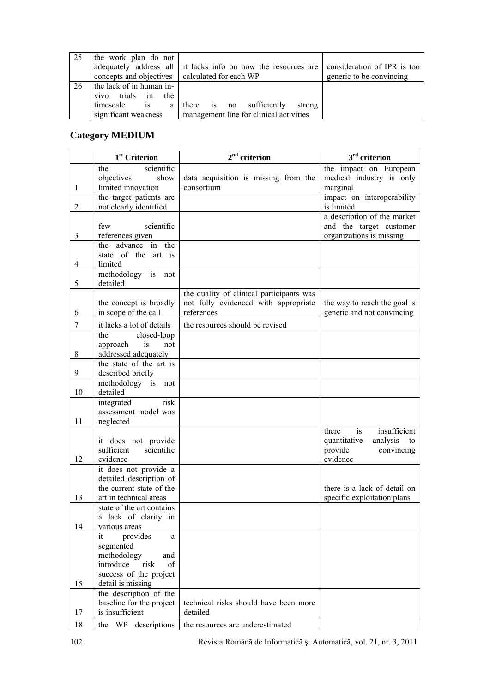| 25  | the work plan do not                             |                                                               |                             |
|-----|--------------------------------------------------|---------------------------------------------------------------|-----------------------------|
|     |                                                  | adequately address all it lacks info on how the resources are | consideration of IPR is too |
|     | concepts and objectives   calculated for each WP |                                                               | generic to be convincing    |
| -26 | the lack of in human in-                         |                                                               |                             |
|     | trials in the<br>vivo                            |                                                               |                             |
|     | is<br>timescale<br>a l                           | there is no<br>sufficiently<br>strong                         |                             |
|     | significant weakness                             | management line for clinical activities                       |                             |

# **Category MEDIUM**

|                | 1 <sup>st</sup> Criterion              | $2^{\rm nd}$ criterion                   | $3rd$ criterion                |
|----------------|----------------------------------------|------------------------------------------|--------------------------------|
|                | scientific<br>the                      |                                          | the impact on European         |
|                | objectives<br>show                     | data acquisition is missing from the     | medical industry is only       |
| 1              | limited innovation                     | consortium                               | marginal                       |
|                | the target patients are                |                                          | impact on interoperability     |
| 2              | not clearly identified                 |                                          | is limited                     |
|                |                                        |                                          | a description of the market    |
|                | scientific<br>few                      |                                          | and the target customer        |
| 3              | references given<br>the advance in the |                                          | organizations is missing       |
|                | state of the art is                    |                                          |                                |
| 4              | limited                                |                                          |                                |
|                | methodology is not                     |                                          |                                |
| 5              | detailed                               |                                          |                                |
|                |                                        | the quality of clinical participants was |                                |
|                | the concept is broadly                 | not fully evidenced with appropriate     | the way to reach the goal is   |
| 6              | in scope of the call                   | references                               | generic and not convincing     |
| $\overline{7}$ | it lacks a lot of details              | the resources should be revised          |                                |
|                | closed-loop<br>the                     |                                          |                                |
|                | is<br>approach<br>not                  |                                          |                                |
| 8              | addressed adequately                   |                                          |                                |
|                | the state of the art is                |                                          |                                |
| 9              | described briefly                      |                                          |                                |
|                | methodology is not                     |                                          |                                |
| 10             | detailed<br>integrated<br>risk         |                                          |                                |
|                | assessment model was                   |                                          |                                |
| 11             | neglected                              |                                          |                                |
|                |                                        |                                          | insufficient<br>there<br>is    |
|                | it does not provide                    |                                          | quantitative<br>analysis<br>to |
|                | sufficient<br>scientific               |                                          | provide<br>convincing          |
| 12             | evidence                               |                                          | evidence                       |
|                | it does not provide a                  |                                          |                                |
|                | detailed description of                |                                          |                                |
|                | the current state of the               |                                          | there is a lack of detail on   |
| 13             | art in technical areas                 |                                          | specific exploitation plans    |
|                | state of the art contains              |                                          |                                |
| 14             | a lack of clarity in                   |                                          |                                |
|                | various areas<br>provides<br>it        |                                          |                                |
|                | a<br>segmented                         |                                          |                                |
|                | methodology<br>and                     |                                          |                                |
|                | introduce<br>risk<br>of                |                                          |                                |
|                | success of the project                 |                                          |                                |
| 15             | detail is missing                      |                                          |                                |
|                | the description of the                 |                                          |                                |
|                | baseline for the project               | technical risks should have been more    |                                |
| 17             | is insufficient                        | detailed                                 |                                |
| 18             | the WP descriptions                    | the resources are underestimated         |                                |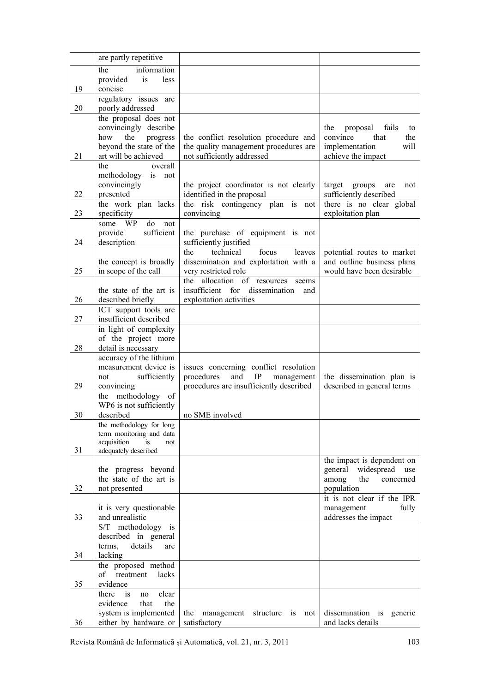|                | are partly repetitive                                                                                                                                                                                                                  |                                                                         |                                                                                                                     |
|----------------|----------------------------------------------------------------------------------------------------------------------------------------------------------------------------------------------------------------------------------------|-------------------------------------------------------------------------|---------------------------------------------------------------------------------------------------------------------|
|                | the<br>information                                                                                                                                                                                                                     |                                                                         |                                                                                                                     |
|                | provided<br>is<br>less                                                                                                                                                                                                                 |                                                                         |                                                                                                                     |
| 19             | concise<br>regulatory issues are                                                                                                                                                                                                       |                                                                         |                                                                                                                     |
| 20             | poorly addressed                                                                                                                                                                                                                       |                                                                         |                                                                                                                     |
|                | the proposal does not                                                                                                                                                                                                                  |                                                                         |                                                                                                                     |
|                | convincingly describe                                                                                                                                                                                                                  |                                                                         | the<br>proposal<br>fails<br>to                                                                                      |
|                | how<br>the<br>progress                                                                                                                                                                                                                 | the conflict resolution procedure and                                   | that<br>the<br>convince                                                                                             |
|                | beyond the state of the                                                                                                                                                                                                                | the quality management procedures are                                   | will<br>implementation                                                                                              |
| 21             | art will be achieved                                                                                                                                                                                                                   | not sufficiently addressed                                              | achieve the impact                                                                                                  |
|                | the<br>overall<br>is<br>methodology<br>not                                                                                                                                                                                             |                                                                         |                                                                                                                     |
|                | convincingly                                                                                                                                                                                                                           | the project coordinator is not clearly                                  | target<br>groups<br>are<br>not                                                                                      |
| 22             | presented                                                                                                                                                                                                                              | identified in the proposal                                              | sufficiently described                                                                                              |
|                | the work plan lacks                                                                                                                                                                                                                    | the risk contingency plan is not                                        | there is no clear global                                                                                            |
| 23             | specificity                                                                                                                                                                                                                            | convincing                                                              | exploitation plan                                                                                                   |
|                | do<br>some WP<br>not<br>sufficient                                                                                                                                                                                                     |                                                                         |                                                                                                                     |
| 24             | provide<br>description                                                                                                                                                                                                                 | the purchase of equipment is not<br>sufficiently justified              |                                                                                                                     |
|                |                                                                                                                                                                                                                                        | focus<br>the<br>technical<br>leaves                                     | potential routes to market                                                                                          |
|                | the concept is broadly                                                                                                                                                                                                                 | dissemination and exploitation with a                                   | and outline business plans                                                                                          |
| 25             | in scope of the call                                                                                                                                                                                                                   | very restricted role                                                    | would have been desirable                                                                                           |
|                |                                                                                                                                                                                                                                        | allocation of resources<br>the<br>seems                                 |                                                                                                                     |
| 26             | the state of the art is<br>described briefly                                                                                                                                                                                           | insufficient for dissemination<br>and<br>exploitation activities        |                                                                                                                     |
|                | ICT support tools are                                                                                                                                                                                                                  |                                                                         |                                                                                                                     |
| 27             | insufficient described                                                                                                                                                                                                                 |                                                                         |                                                                                                                     |
|                | in light of complexity                                                                                                                                                                                                                 |                                                                         |                                                                                                                     |
|                | of the project more                                                                                                                                                                                                                    |                                                                         |                                                                                                                     |
| 28             | detail is necessary<br>accuracy of the lithium                                                                                                                                                                                         |                                                                         |                                                                                                                     |
|                | measurement device is                                                                                                                                                                                                                  | issues concerning conflict resolution                                   |                                                                                                                     |
|                | sufficiently<br>not                                                                                                                                                                                                                    | procedures<br>and<br>$\rm IP$<br>management                             | the dissemination plan is                                                                                           |
| 29             | convincing                                                                                                                                                                                                                             | procedures are insufficiently described                                 | described in general terms                                                                                          |
|                | the methodology of                                                                                                                                                                                                                     |                                                                         |                                                                                                                     |
| 30             | WP6 is not sufficiently<br>described                                                                                                                                                                                                   | no SME involved                                                         |                                                                                                                     |
|                | the methodology for long                                                                                                                                                                                                               |                                                                         |                                                                                                                     |
|                | term monitoring and data                                                                                                                                                                                                               |                                                                         |                                                                                                                     |
| 31             | acquisition<br>is<br>not<br>adequately described                                                                                                                                                                                       |                                                                         |                                                                                                                     |
|                |                                                                                                                                                                                                                                        |                                                                         | the impact is dependent on                                                                                          |
|                | the progress beyond                                                                                                                                                                                                                    |                                                                         | general<br>widespread<br>use                                                                                        |
|                |                                                                                                                                                                                                                                        |                                                                         | the<br>among<br>concerned                                                                                           |
|                |                                                                                                                                                                                                                                        |                                                                         |                                                                                                                     |
|                |                                                                                                                                                                                                                                        |                                                                         |                                                                                                                     |
| 33             | and unrealistic                                                                                                                                                                                                                        |                                                                         | addresses the impact                                                                                                |
|                | S/T methodology is                                                                                                                                                                                                                     |                                                                         |                                                                                                                     |
|                |                                                                                                                                                                                                                                        |                                                                         |                                                                                                                     |
|                |                                                                                                                                                                                                                                        |                                                                         |                                                                                                                     |
|                |                                                                                                                                                                                                                                        |                                                                         |                                                                                                                     |
|                | of<br>treatment<br>lacks                                                                                                                                                                                                               |                                                                         |                                                                                                                     |
| 35             | evidence                                                                                                                                                                                                                               |                                                                         |                                                                                                                     |
|                | there<br>clear<br>is.<br>no                                                                                                                                                                                                            |                                                                         |                                                                                                                     |
|                |                                                                                                                                                                                                                                        |                                                                         |                                                                                                                     |
|                |                                                                                                                                                                                                                                        |                                                                         |                                                                                                                     |
| 32<br>34<br>36 | the state of the art is<br>not presented<br>it is very questionable<br>described in general<br>details<br>terms,<br>are<br>lacking<br>the proposed method<br>evidence<br>that<br>the<br>system is implemented<br>either by hardware or | the<br>management<br>structure<br>$\overline{1}$<br>not<br>satisfactory | population<br>it is not clear if the IPR<br>fully<br>management<br>dissemination is<br>generic<br>and lacks details |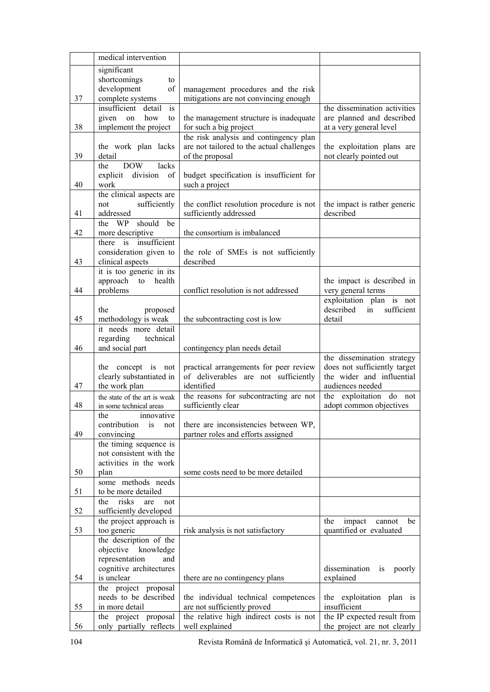|    | medical intervention                            |                                                                  |                                                      |
|----|-------------------------------------------------|------------------------------------------------------------------|------------------------------------------------------|
|    | significant                                     |                                                                  |                                                      |
|    | shortcomings<br>to                              |                                                                  |                                                      |
|    | development<br>of                               | management procedures and the risk                               |                                                      |
| 37 | complete systems                                | mitigations are not convincing enough                            |                                                      |
|    | insufficient detail<br>is                       |                                                                  | the dissemination activities                         |
| 38 | given on<br>how<br>to<br>implement the project  | the management structure is inadequate<br>for such a big project | are planned and described<br>at a very general level |
|    |                                                 | the risk analysis and contingency plan                           |                                                      |
|    | the work plan lacks                             | are not tailored to the actual challenges                        | the exploitation plans are                           |
| 39 | detail                                          | of the proposal                                                  | not clearly pointed out                              |
|    | <b>DOW</b><br>lacks<br>the                      |                                                                  |                                                      |
|    | division of<br>explicit                         | budget specification is insufficient for                         |                                                      |
| 40 | work                                            | such a project                                                   |                                                      |
|    | the clinical aspects are                        |                                                                  |                                                      |
|    | sufficiently<br>not                             | the conflict resolution procedure is not                         | the impact is rather generic                         |
| 41 | addressed<br>should<br>be<br>the WP             | sufficiently addressed                                           | described                                            |
| 42 | more descriptive                                | the consortium is imbalanced                                     |                                                      |
|    | there is insufficient                           |                                                                  |                                                      |
|    | consideration given to                          | the role of SMEs is not sufficiently                             |                                                      |
| 43 | clinical aspects                                | described                                                        |                                                      |
|    | it is too generic in its                        |                                                                  |                                                      |
|    | approach to<br>health                           |                                                                  | the impact is described in                           |
| 44 | problems                                        | conflict resolution is not addressed                             | very general terms                                   |
|    |                                                 |                                                                  | exploitation plan is not<br>described<br>sufficient  |
| 45 | the<br>proposed<br>methodology is weak          | the subcontracting cost is low                                   | in<br>detail                                         |
|    | it needs more detail                            |                                                                  |                                                      |
|    | regarding<br>technical                          |                                                                  |                                                      |
| 46 | and social part                                 | contingency plan needs detail                                    |                                                      |
|    |                                                 |                                                                  | the dissemination strategy                           |
|    | the concept is not                              | practical arrangements for peer review                           | does not sufficiently target                         |
| 47 | clearly substantiated in<br>the work plan       | of deliverables are not sufficiently<br>identified               | the wider and influential<br>audiences needed        |
|    | the state of the art is weak                    | the reasons for subcontracting are not                           | the exploitation do not                              |
| 48 | in some technical areas                         | sufficiently clear                                               | adopt common objectives                              |
|    | innovative<br>the                               |                                                                  |                                                      |
|    | contribution<br>is<br>not                       | there are inconsistencies between WP,                            |                                                      |
| 49 | convincing                                      | partner roles and efforts assigned                               |                                                      |
|    | the timing sequence is                          |                                                                  |                                                      |
|    | not consistent with the                         |                                                                  |                                                      |
| 50 | activities in the work                          |                                                                  |                                                      |
|    | plan<br>some methods needs                      | some costs need to be more detailed                              |                                                      |
| 51 | to be more detailed                             |                                                                  |                                                      |
|    | risks<br>the<br>are<br>not                      |                                                                  |                                                      |
| 52 | sufficiently developed                          |                                                                  |                                                      |
|    | the project approach is                         |                                                                  | the<br>impact<br>cannot<br>be                        |
| 53 | too generic                                     | risk analysis is not satisfactory                                | quantified or evaluated                              |
|    | the description of the                          |                                                                  |                                                      |
|    | objective<br>knowledge<br>representation<br>and |                                                                  |                                                      |
|    | cognitive architectures                         |                                                                  | dissemination<br>poorly<br>is                        |
| 54 | is unclear                                      | there are no contingency plans                                   | explained                                            |
|    | the project proposal                            |                                                                  |                                                      |
|    | needs to be described                           | the individual technical competences                             | the exploitation plan is                             |
| 55 | in more detail                                  | are not sufficiently proved                                      | insufficient                                         |
|    | the project proposal                            | the relative high indirect costs is not                          | the IP expected result from                          |
| 56 | only partially reflects                         | well explained                                                   | the project are not clearly                          |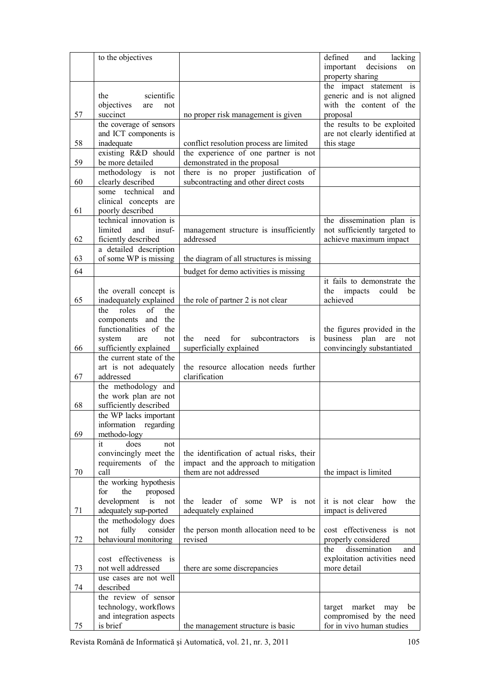|    | to the objectives                                   |                                                   | defined<br>and<br>lacking                                    |
|----|-----------------------------------------------------|---------------------------------------------------|--------------------------------------------------------------|
|    |                                                     |                                                   | decisions<br>important<br>on                                 |
|    |                                                     |                                                   | property sharing                                             |
|    |                                                     |                                                   | the impact statement is                                      |
|    | the<br>scientific                                   |                                                   | generic and is not aligned                                   |
|    | objectives<br>are<br>not                            |                                                   | with the content of the                                      |
| 57 | succinct                                            | no proper risk management is given                | proposal                                                     |
|    | the coverage of sensors<br>and ICT components is    |                                                   | the results to be exploited<br>are not clearly identified at |
| 58 | inadequate                                          | conflict resolution process are limited           | this stage                                                   |
|    | existing R&D should                                 | the experience of one partner is not              |                                                              |
| 59 | be more detailed                                    | demonstrated in the proposal                      |                                                              |
|    | methodology is<br>not                               | there is no proper justification of               |                                                              |
| 60 | clearly described                                   | subcontracting and other direct costs             |                                                              |
|    | some technical<br>and                               |                                                   |                                                              |
|    | clinical concepts are                               |                                                   |                                                              |
| 61 | poorly described                                    |                                                   |                                                              |
|    | technical innovation is                             |                                                   | the dissemination plan is                                    |
|    | insuf-<br>limited<br>and                            | management structure is insufficiently            | not sufficiently targeted to                                 |
| 62 | ficiently described                                 | addressed                                         | achieve maximum impact                                       |
|    | a detailed description<br>of some WP is missing     |                                                   |                                                              |
| 63 |                                                     | the diagram of all structures is missing          |                                                              |
| 64 |                                                     | budget for demo activities is missing             |                                                              |
|    |                                                     |                                                   | it fails to demonstrate the                                  |
|    | the overall concept is                              |                                                   | impacts<br>the<br>could<br>be                                |
| 65 | inadequately explained<br>roles<br>of<br>the<br>the | the role of partner 2 is not clear                | achieved                                                     |
|    | components and the                                  |                                                   |                                                              |
|    | functionalities of the                              |                                                   | the figures provided in the                                  |
|    | system<br>not<br>are                                | for<br>the<br>need<br>subcontractors<br>is        | business<br>plan<br>are<br>not                               |
| 66 | sufficiently explained                              | superficially explained                           | convincingly substantiated                                   |
|    | the current state of the                            |                                                   |                                                              |
|    | art is not adequately                               | the resource allocation needs further             |                                                              |
| 67 | addressed                                           | clarification                                     |                                                              |
|    | the methodology and                                 |                                                   |                                                              |
|    | the work plan are not                               |                                                   |                                                              |
| 68 | sufficiently described                              |                                                   |                                                              |
|    | the WP lacks important<br>information regarding     |                                                   |                                                              |
| 69 | methodo-logy                                        |                                                   |                                                              |
|    | it<br>does<br>not                                   |                                                   |                                                              |
|    | convincingly meet the                               | the identification of actual risks, their         |                                                              |
|    | requirements of the                                 | impact and the approach to mitigation             |                                                              |
| 70 | call                                                | them are not addressed                            | the impact is limited                                        |
|    | the working hypothesis                              |                                                   |                                                              |
|    | for<br>the<br>proposed                              |                                                   |                                                              |
|    | development<br>is<br>not                            | leader<br>of<br>WP -<br>the<br>some<br>is<br>not  | it is not clear<br>how<br>the                                |
| 71 | adequately sup-ported                               | adequately explained                              | impact is delivered                                          |
|    | the methodology does                                |                                                   |                                                              |
| 72 | fully<br>consider<br>not<br>behavioural monitoring  | the person month allocation need to be<br>revised | cost effectiveness is not<br>properly considered             |
|    |                                                     |                                                   | dissemination<br>the<br>and                                  |
|    | cost effectiveness<br><i>is</i>                     |                                                   | exploitation activities need                                 |
| 73 | not well addressed                                  | there are some discrepancies                      | more detail                                                  |
|    | use cases are not well                              |                                                   |                                                              |
| 74 | described                                           |                                                   |                                                              |
|    | the review of sensor                                |                                                   |                                                              |
|    | technology, workflows                               |                                                   | market<br>target<br>may<br>be                                |
|    | and integration aspects                             |                                                   | compromised by the need                                      |
| 75 | is brief                                            | the management structure is basic                 | for in vivo human studies                                    |

Revista Română de Informatică și Automatică, vol. 21, nr. 3, 2011 105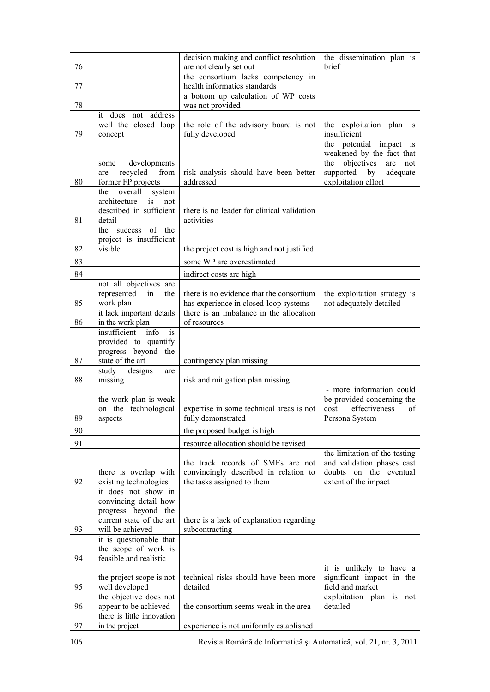| 76 |                                                                                                 | decision making and conflict resolution<br>are not clearly set out                                       | the dissemination plan is<br>brief                                                                                                         |
|----|-------------------------------------------------------------------------------------------------|----------------------------------------------------------------------------------------------------------|--------------------------------------------------------------------------------------------------------------------------------------------|
|    |                                                                                                 | the consortium lacks competency in                                                                       |                                                                                                                                            |
| 77 |                                                                                                 | health informatics standards                                                                             |                                                                                                                                            |
|    |                                                                                                 | a bottom up calculation of WP costs                                                                      |                                                                                                                                            |
| 78 | it does not address                                                                             | was not provided                                                                                         |                                                                                                                                            |
| 79 | well the closed loop<br>concept                                                                 | the role of the advisory board is not<br>fully developed                                                 | the exploitation plan is<br>insufficient                                                                                                   |
| 80 | developments<br>some<br>recycled<br>from<br>are<br>former FP projects                           | risk analysis should have been better<br>addressed                                                       | the potential impact is<br>weakened by the fact that<br>objectives<br>the<br>are<br>not<br>supported by<br>adequate<br>exploitation effort |
| 81 | the<br>overall<br>system<br>architecture<br>is<br>not<br>described in sufficient<br>detail      | there is no leader for clinical validation<br>activities                                                 |                                                                                                                                            |
|    | the success of the                                                                              |                                                                                                          |                                                                                                                                            |
| 82 | project is insufficient<br>visible                                                              | the project cost is high and not justified                                                               |                                                                                                                                            |
| 83 |                                                                                                 | some WP are overestimated                                                                                |                                                                                                                                            |
| 84 |                                                                                                 | indirect costs are high                                                                                  |                                                                                                                                            |
|    | not all objectives are                                                                          |                                                                                                          |                                                                                                                                            |
|    | represented<br>in<br>the                                                                        | there is no evidence that the consortium                                                                 | the exploitation strategy is                                                                                                               |
| 85 | work plan                                                                                       | has experience in closed-loop systems                                                                    | not adequately detailed                                                                                                                    |
| 86 | it lack important details<br>in the work plan                                                   | there is an imbalance in the allocation<br>of resources                                                  |                                                                                                                                            |
|    | insufficient<br>info<br>is.                                                                     |                                                                                                          |                                                                                                                                            |
|    | provided to quantify                                                                            |                                                                                                          |                                                                                                                                            |
|    | progress beyond the                                                                             |                                                                                                          |                                                                                                                                            |
| 87 | state of the art<br>study designs                                                               | contingency plan missing                                                                                 |                                                                                                                                            |
| 88 | are<br>missing                                                                                  | risk and mitigation plan missing                                                                         |                                                                                                                                            |
| 89 | the work plan is weak<br>on the technological<br>aspects                                        | expertise in some technical areas is not<br>fully demonstrated                                           | - more information could<br>be provided concerning the<br>cost<br>effectiveness<br>οf<br>Persona System                                    |
| 90 |                                                                                                 | the proposed budget is high                                                                              |                                                                                                                                            |
| 91 |                                                                                                 | resource allocation should be revised                                                                    |                                                                                                                                            |
| 92 | there is overlap with<br>existing technologies                                                  | the track records of SMEs are not<br>convincingly described in relation to<br>the tasks assigned to them | the limitation of the testing<br>and validation phases cast<br>doubts on the eventual<br>extent of the impact                              |
|    | it does not show in<br>convincing detail how<br>progress beyond the<br>current state of the art | there is a lack of explanation regarding                                                                 |                                                                                                                                            |
| 93 | will be achieved                                                                                | subcontracting                                                                                           |                                                                                                                                            |
| 94 | it is questionable that<br>the scope of work is<br>feasible and realistic                       |                                                                                                          |                                                                                                                                            |
| 95 | the project scope is not<br>well developed                                                      | technical risks should have been more<br>detailed                                                        | it is unlikely to have a<br>significant impact in the<br>field and market                                                                  |
| 96 | the objective does not<br>appear to be achieved                                                 | the consortium seems weak in the area                                                                    | exploitation plan is not<br>detailed                                                                                                       |
|    | there is little innovation                                                                      |                                                                                                          |                                                                                                                                            |
| 97 | in the project                                                                                  | experience is not uniformly established                                                                  |                                                                                                                                            |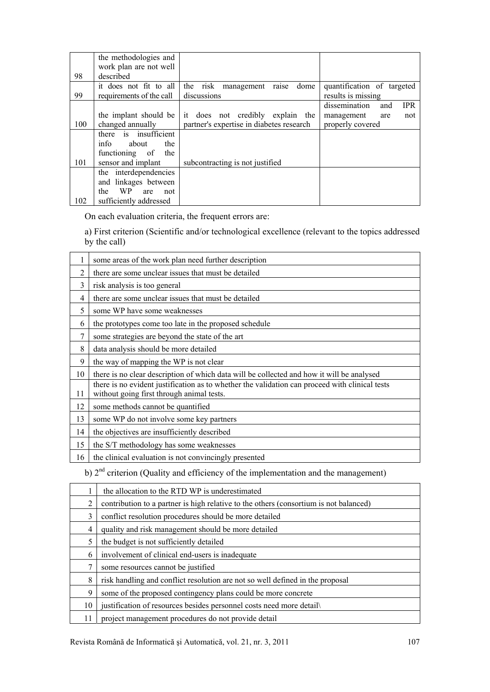|     | the methodologies and    |                                          |                                    |
|-----|--------------------------|------------------------------------------|------------------------------------|
|     | work plan are not well   |                                          |                                    |
| 98  | described                |                                          |                                    |
|     | it does not fit to all   | the<br>risk<br>dome<br>management raise  | quantification of targeted         |
| 99  | requirements of the call | discussions                              | results is missing                 |
|     |                          |                                          | dissemination<br><b>IPR</b><br>and |
|     | the implant should be    | it does not credibly explain the         | management<br>not<br>are           |
| 100 | changed annually         | partner's expertise in diabetes research | properly covered                   |
|     | there is insufficient    |                                          |                                    |
|     | info<br>about<br>the     |                                          |                                    |
|     | functioning of<br>the    |                                          |                                    |
| 101 | sensor and implant       | subcontracting is not justified          |                                    |
|     | the interdependencies    |                                          |                                    |
|     | and linkages between     |                                          |                                    |
|     | WP.<br>the<br>are<br>not |                                          |                                    |
| 102 | sufficiently addressed   |                                          |                                    |

On each evaluation criteria, the frequent errors are:

a) First criterion (Scientific and/or technological excellence (relevant to the topics addressed by the call)

|    | some areas of the work plan need further description                                                                                        |
|----|---------------------------------------------------------------------------------------------------------------------------------------------|
| 2  | there are some unclear issues that must be detailed                                                                                         |
| 3  | risk analysis is too general                                                                                                                |
| 4  | there are some unclear issues that must be detailed                                                                                         |
| 5  | some WP have some weaknesses                                                                                                                |
| 6  | the prototypes come too late in the proposed schedule                                                                                       |
| 7  | some strategies are beyond the state of the art                                                                                             |
| 8  | data analysis should be more detailed                                                                                                       |
| 9  | the way of mapping the WP is not clear                                                                                                      |
| 10 | there is no clear description of which data will be collected and how it will be analysed                                                   |
| 11 | there is no evident justification as to whether the validation can proceed with clinical tests<br>without going first through animal tests. |
| 12 | some methods cannot be quantified                                                                                                           |
| 13 | some WP do not involve some key partners                                                                                                    |
| 14 | the objectives are insufficiently described                                                                                                 |
| 15 | the S/T methodology has some weaknesses                                                                                                     |
| 16 | the clinical evaluation is not convincingly presented                                                                                       |
|    | $\mathbf{A}$                                                                                                                                |

b)  $2<sup>nd</sup>$  criterion (Quality and efficiency of the implementation and the management)

|    | the allocation to the RTD WP is underestimated                                        |  |  |
|----|---------------------------------------------------------------------------------------|--|--|
| 2  | contribution to a partner is high relative to the others (consortium is not balanced) |  |  |
| 3  | conflict resolution procedures should be more detailed                                |  |  |
| 4  | quality and risk management should be more detailed                                   |  |  |
| 5  | the budget is not sufficiently detailed                                               |  |  |
| 6  | involvement of clinical end-users is inadequate                                       |  |  |
| 7  | some resources cannot be justified                                                    |  |  |
| 8  | risk handling and conflict resolution are not so well defined in the proposal         |  |  |
| 9  | some of the proposed contingency plans could be more concrete                         |  |  |
| 10 | justification of resources besides personnel costs need more detail                   |  |  |
| 11 | project management procedures do not provide detail                                   |  |  |